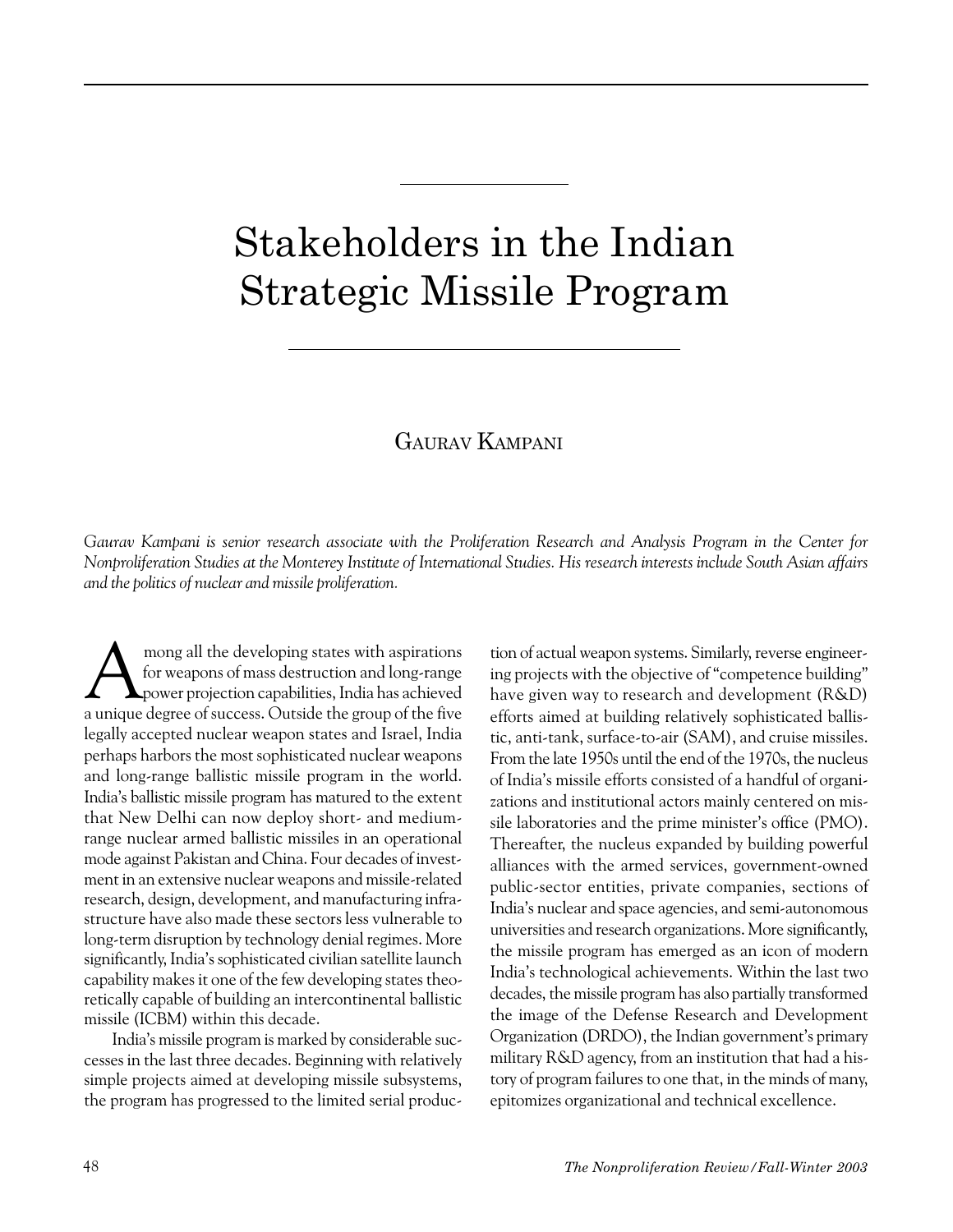# Stakeholders in the Indian Strategic Missile Program

# GAURAV KAMPANI

*Gaurav Kampani is senior research associate with the Proliferation Research and Analysis Program in the Center for Nonproliferation Studies at the Monterey Institute of International Studies. His research interests include South Asian affairs and the politics of nuclear and missile proliferation.*

A mong all the developing states with aspirations<br>for weapons of mass destruction and long-range<br>power projection capabilities, India has achieved<br>a unique degree of success. Outside the group of the five mong all the developing states with aspirations for weapons of mass destruction and long-range **L** power projection capabilities, India has achieved legally accepted nuclear weapon states and Israel, India perhaps harbors the most sophisticated nuclear weapons and long-range ballistic missile program in the world. India's ballistic missile program has matured to the extent that New Delhi can now deploy short- and mediumrange nuclear armed ballistic missiles in an operational mode against Pakistan and China. Four decades of investment in an extensive nuclear weapons and missile-related research, design, development, and manufacturing infrastructure have also made these sectors less vulnerable to long-term disruption by technology denial regimes. More significantly, India's sophisticated civilian satellite launch capability makes it one of the few developing states theoretically capable of building an intercontinental ballistic missile (ICBM) within this decade.

India's missile program is marked by considerable successes in the last three decades. Beginning with relatively simple projects aimed at developing missile subsystems, the program has progressed to the limited serial produc-

tion of actual weapon systems. Similarly, reverse engineering projects with the objective of "competence building" have given way to research and development (R&D) efforts aimed at building relatively sophisticated ballistic, anti-tank, surface-to-air (SAM), and cruise missiles. From the late 1950s until the end of the 1970s, the nucleus of India's missile efforts consisted of a handful of organizations and institutional actors mainly centered on missile laboratories and the prime minister's office (PMO). Thereafter, the nucleus expanded by building powerful alliances with the armed services, government-owned public-sector entities, private companies, sections of India's nuclear and space agencies, and semi-autonomous universities and research organizations. More significantly, the missile program has emerged as an icon of modern India's technological achievements. Within the last two decades, the missile program has also partially transformed the image of the Defense Research and Development Organization (DRDO), the Indian government's primary military R&D agency, from an institution that had a history of program failures to one that, in the minds of many, epitomizes organizational and technical excellence.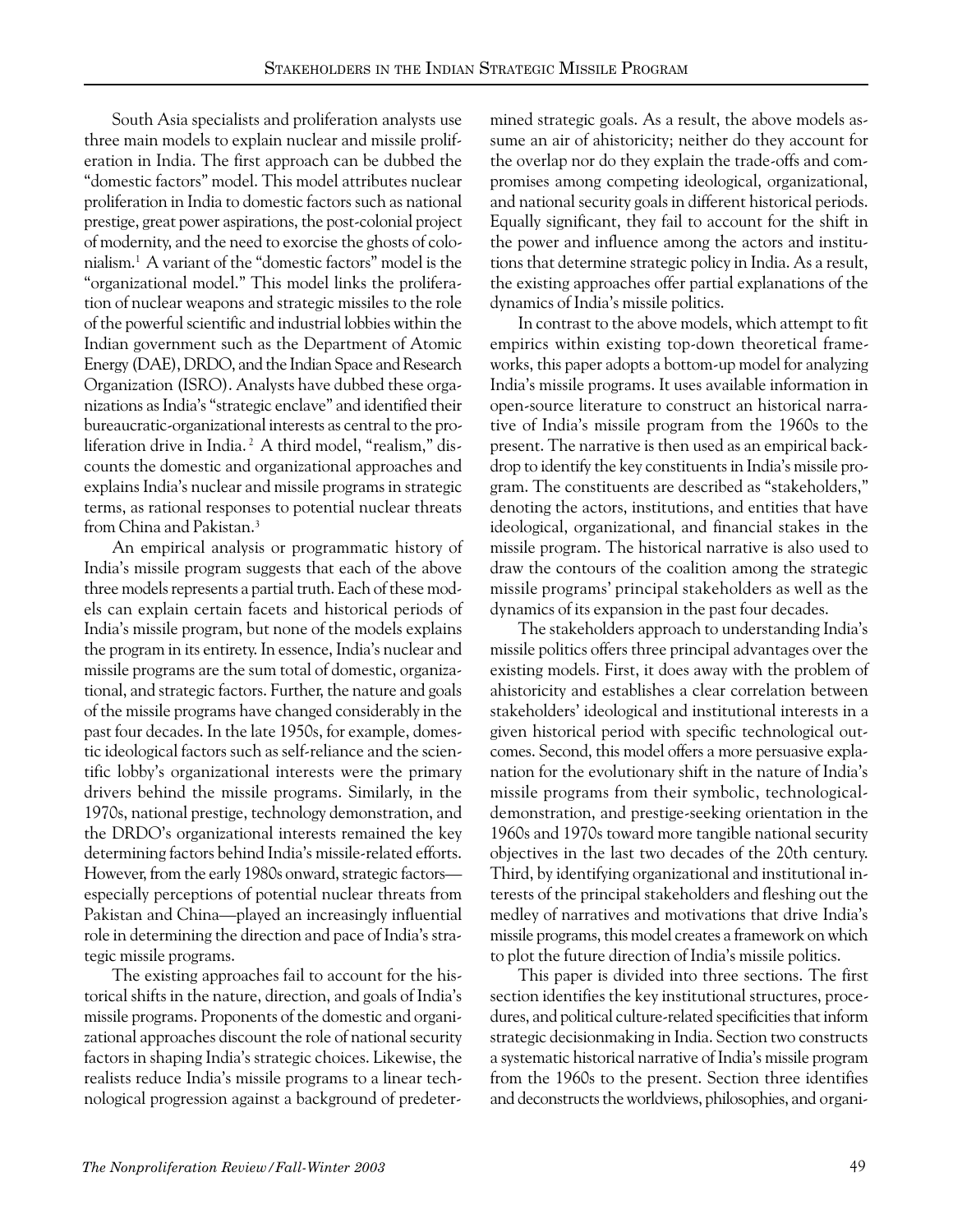South Asia specialists and proliferation analysts use three main models to explain nuclear and missile proliferation in India. The first approach can be dubbed the "domestic factors" model. This model attributes nuclear proliferation in India to domestic factors such as national prestige, great power aspirations, the post-colonial project of modernity, and the need to exorcise the ghosts of colonialism.<sup>1</sup> A variant of the "domestic factors" model is the "organizational model." This model links the proliferation of nuclear weapons and strategic missiles to the role of the powerful scientific and industrial lobbies within the Indian government such as the Department of Atomic Energy (DAE), DRDO, and the Indian Space and Research Organization (ISRO). Analysts have dubbed these organizations as India's "strategic enclave" and identified their bureaucratic-organizational interests as central to the proliferation drive in India.<sup>2</sup> A third model, "realism," discounts the domestic and organizational approaches and explains India's nuclear and missile programs in strategic terms, as rational responses to potential nuclear threats from China and Pakistan.<sup>3</sup>

An empirical analysis or programmatic history of India's missile program suggests that each of the above three models represents a partial truth. Each of these models can explain certain facets and historical periods of India's missile program, but none of the models explains the program in its entirety. In essence, India's nuclear and missile programs are the sum total of domestic, organizational, and strategic factors. Further, the nature and goals of the missile programs have changed considerably in the past four decades. In the late 1950s, for example, domestic ideological factors such as self-reliance and the scientific lobby's organizational interests were the primary drivers behind the missile programs. Similarly, in the 1970s, national prestige, technology demonstration, and the DRDO's organizational interests remained the key determining factors behind India's missile-related efforts. However, from the early 1980s onward, strategic factors especially perceptions of potential nuclear threats from Pakistan and China—played an increasingly influential role in determining the direction and pace of India's strategic missile programs.

The existing approaches fail to account for the historical shifts in the nature, direction, and goals of India's missile programs. Proponents of the domestic and organizational approaches discount the role of national security factors in shaping India's strategic choices. Likewise, the realists reduce India's missile programs to a linear technological progression against a background of predetermined strategic goals. As a result, the above models assume an air of ahistoricity; neither do they account for the overlap nor do they explain the trade-offs and compromises among competing ideological, organizational, and national security goals in different historical periods. Equally significant, they fail to account for the shift in the power and influence among the actors and institutions that determine strategic policy in India. As a result, the existing approaches offer partial explanations of the dynamics of India's missile politics.

In contrast to the above models, which attempt to fit empirics within existing top-down theoretical frameworks, this paper adopts a bottom-up model for analyzing India's missile programs. It uses available information in open-source literature to construct an historical narrative of India's missile program from the 1960s to the present. The narrative is then used as an empirical backdrop to identify the key constituents in India's missile program. The constituents are described as "stakeholders," denoting the actors, institutions, and entities that have ideological, organizational, and financial stakes in the missile program. The historical narrative is also used to draw the contours of the coalition among the strategic missile programs' principal stakeholders as well as the dynamics of its expansion in the past four decades.

The stakeholders approach to understanding India's missile politics offers three principal advantages over the existing models. First, it does away with the problem of ahistoricity and establishes a clear correlation between stakeholders' ideological and institutional interests in a given historical period with specific technological outcomes. Second, this model offers a more persuasive explanation for the evolutionary shift in the nature of India's missile programs from their symbolic, technologicaldemonstration, and prestige-seeking orientation in the 1960s and 1970s toward more tangible national security objectives in the last two decades of the 20th century. Third, by identifying organizational and institutional interests of the principal stakeholders and fleshing out the medley of narratives and motivations that drive India's missile programs, this model creates a framework on which to plot the future direction of India's missile politics.

This paper is divided into three sections. The first section identifies the key institutional structures, procedures, and political culture-related specificities that inform strategic decisionmaking in India. Section two constructs a systematic historical narrative of India's missile program from the 1960s to the present. Section three identifies and deconstructs the worldviews, philosophies, and organi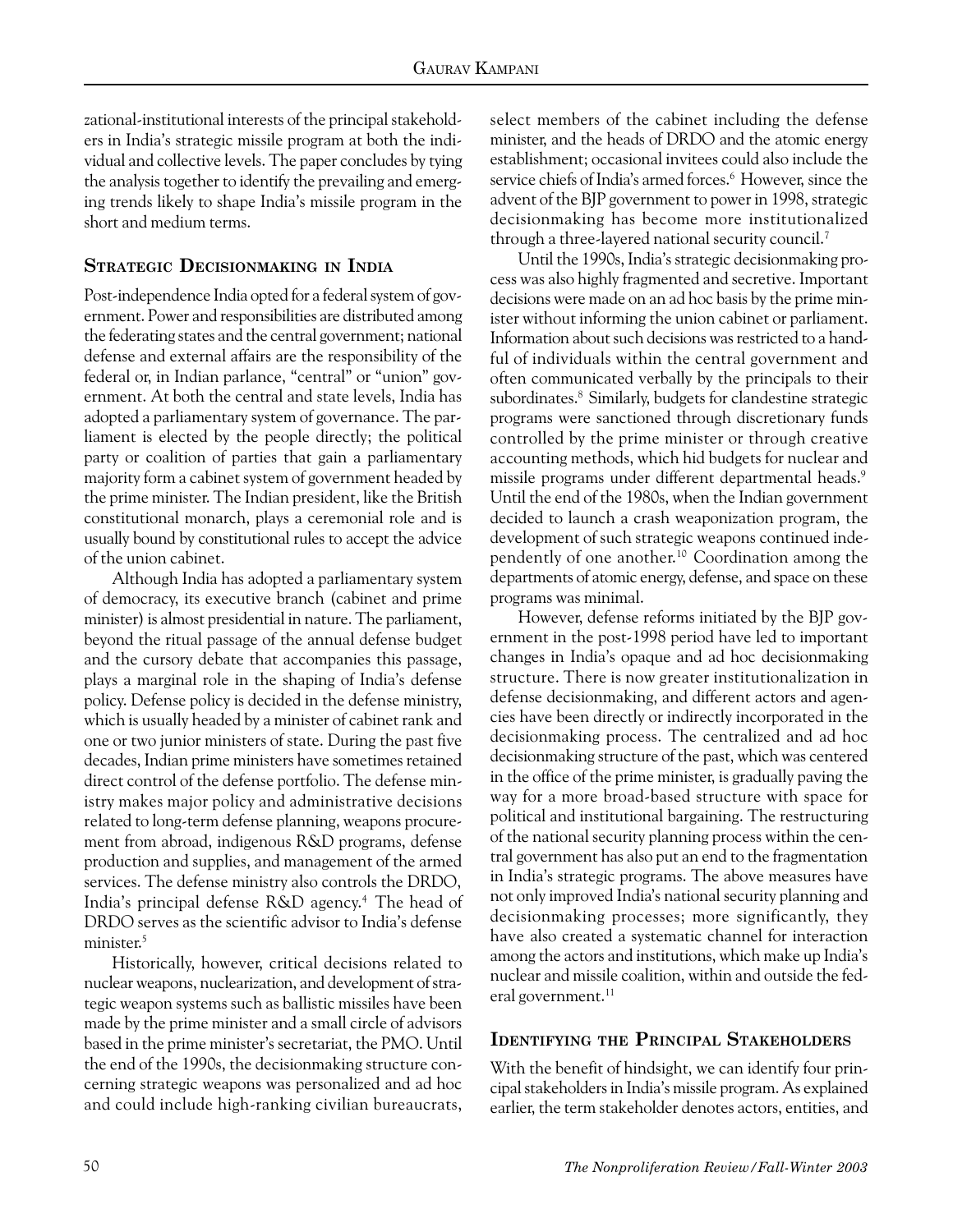zational-institutional interests of the principal stakeholders in India's strategic missile program at both the individual and collective levels. The paper concludes by tying the analysis together to identify the prevailing and emerging trends likely to shape India's missile program in the short and medium terms.

#### **STRATEGIC DECISIONMAKING IN INDIA**

Post-independence India opted for a federal system of government. Power and responsibilities are distributed among the federating states and the central government; national defense and external affairs are the responsibility of the federal or, in Indian parlance, "central" or "union" government. At both the central and state levels, India has adopted a parliamentary system of governance. The parliament is elected by the people directly; the political party or coalition of parties that gain a parliamentary majority form a cabinet system of government headed by the prime minister. The Indian president, like the British constitutional monarch, plays a ceremonial role and is usually bound by constitutional rules to accept the advice of the union cabinet.

Although India has adopted a parliamentary system of democracy, its executive branch (cabinet and prime minister) is almost presidential in nature. The parliament, beyond the ritual passage of the annual defense budget and the cursory debate that accompanies this passage, plays a marginal role in the shaping of India's defense policy. Defense policy is decided in the defense ministry, which is usually headed by a minister of cabinet rank and one or two junior ministers of state. During the past five decades, Indian prime ministers have sometimes retained direct control of the defense portfolio. The defense ministry makes major policy and administrative decisions related to long-term defense planning, weapons procurement from abroad, indigenous R&D programs, defense production and supplies, and management of the armed services. The defense ministry also controls the DRDO, India's principal defense R&D agency.<sup>4</sup> The head of DRDO serves as the scientific advisor to India's defense minister.<sup>5</sup>

Historically, however, critical decisions related to nuclear weapons, nuclearization, and development of strategic weapon systems such as ballistic missiles have been made by the prime minister and a small circle of advisors based in the prime minister's secretariat, the PMO. Until the end of the 1990s, the decisionmaking structure concerning strategic weapons was personalized and ad hoc and could include high-ranking civilian bureaucrats, select members of the cabinet including the defense minister, and the heads of DRDO and the atomic energy establishment; occasional invitees could also include the service chiefs of India's armed forces.<sup>6</sup> However, since the advent of the BJP government to power in 1998, strategic decisionmaking has become more institutionalized through a three-layered national security council.<sup>7</sup>

Until the 1990s, India's strategic decisionmaking process was also highly fragmented and secretive. Important decisions were made on an ad hoc basis by the prime minister without informing the union cabinet or parliament. Information about such decisions was restricted to a handful of individuals within the central government and often communicated verbally by the principals to their subordinates.<sup>8</sup> Similarly, budgets for clandestine strategic programs were sanctioned through discretionary funds controlled by the prime minister or through creative accounting methods, which hid budgets for nuclear and missile programs under different departmental heads.<sup>9</sup> Until the end of the 1980s, when the Indian government decided to launch a crash weaponization program, the development of such strategic weapons continued independently of one another.10 Coordination among the departments of atomic energy, defense, and space on these programs was minimal.

However, defense reforms initiated by the BJP government in the post-1998 period have led to important changes in India's opaque and ad hoc decisionmaking structure. There is now greater institutionalization in defense decisionmaking, and different actors and agencies have been directly or indirectly incorporated in the decisionmaking process. The centralized and ad hoc decisionmaking structure of the past, which was centered in the office of the prime minister, is gradually paving the way for a more broad-based structure with space for political and institutional bargaining. The restructuring of the national security planning process within the central government has also put an end to the fragmentation in India's strategic programs. The above measures have not only improved India's national security planning and decisionmaking processes; more significantly, they have also created a systematic channel for interaction among the actors and institutions, which make up India's nuclear and missile coalition, within and outside the federal government.<sup>11</sup>

# **IDENTIFYING THE PRINCIPAL STAKEHOLDERS**

With the benefit of hindsight, we can identify four principal stakeholders in India's missile program. As explained earlier, the term stakeholder denotes actors, entities, and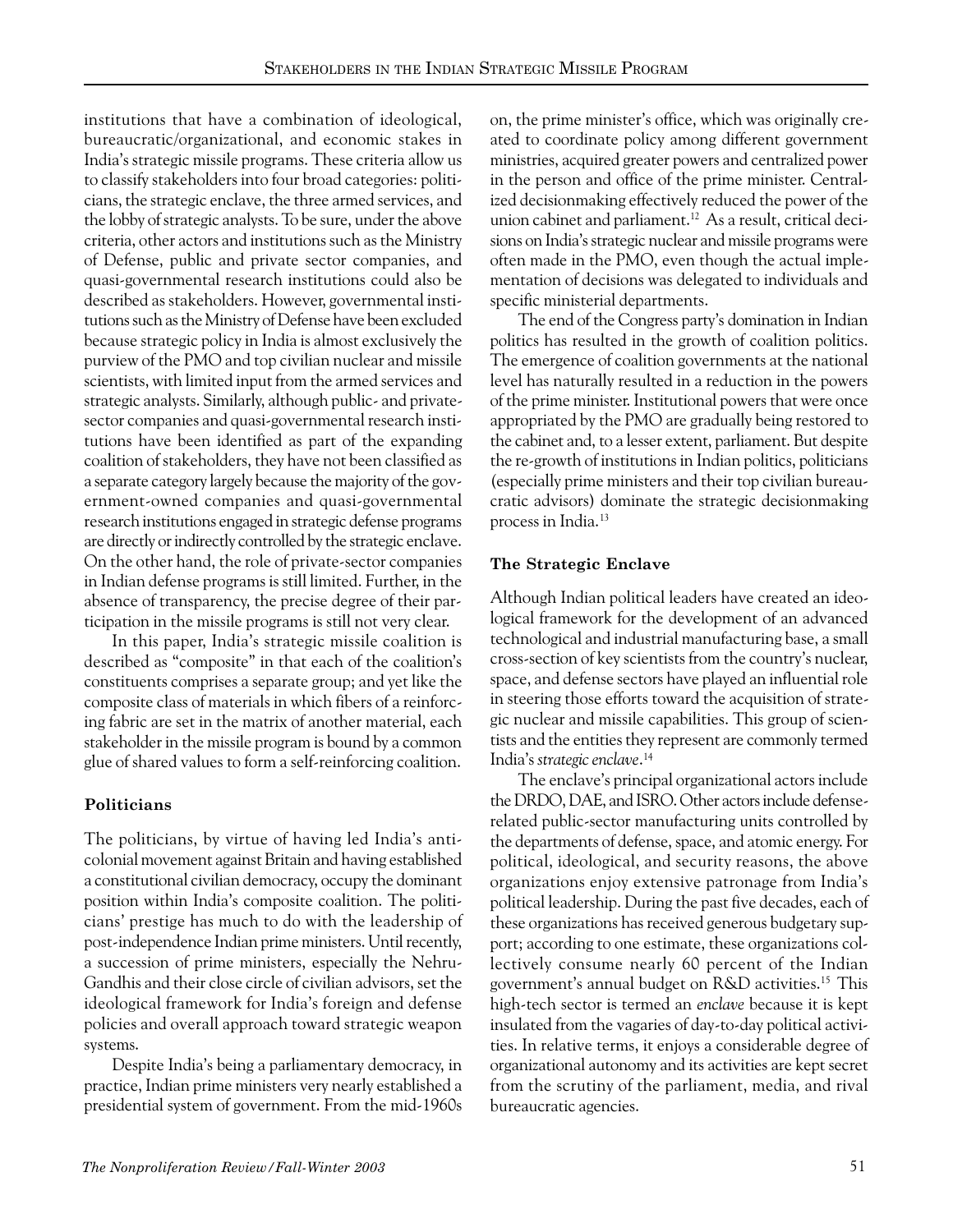institutions that have a combination of ideological, bureaucratic/organizational, and economic stakes in India's strategic missile programs. These criteria allow us to classify stakeholders into four broad categories: politicians, the strategic enclave, the three armed services, and the lobby of strategic analysts. To be sure, under the above criteria, other actors and institutions such as the Ministry of Defense, public and private sector companies, and quasi-governmental research institutions could also be described as stakeholders. However, governmental institutions such as the Ministry of Defense have been excluded because strategic policy in India is almost exclusively the purview of the PMO and top civilian nuclear and missile scientists, with limited input from the armed services and strategic analysts. Similarly, although public- and privatesector companies and quasi-governmental research institutions have been identified as part of the expanding coalition of stakeholders, they have not been classified as a separate category largely because the majority of the government-owned companies and quasi-governmental research institutions engaged in strategic defense programs are directly or indirectly controlled by the strategic enclave. On the other hand, the role of private-sector companies in Indian defense programs is still limited. Further, in the absence of transparency, the precise degree of their participation in the missile programs is still not very clear.

In this paper, India's strategic missile coalition is described as "composite" in that each of the coalition's constituents comprises a separate group; and yet like the composite class of materials in which fibers of a reinforcing fabric are set in the matrix of another material, each stakeholder in the missile program is bound by a common glue of shared values to form a self-reinforcing coalition.

#### **Politicians**

The politicians, by virtue of having led India's anticolonial movement against Britain and having established a constitutional civilian democracy, occupy the dominant position within India's composite coalition. The politicians' prestige has much to do with the leadership of post-independence Indian prime ministers. Until recently, a succession of prime ministers, especially the Nehru-Gandhis and their close circle of civilian advisors, set the ideological framework for India's foreign and defense policies and overall approach toward strategic weapon systems.

Despite India's being a parliamentary democracy, in practice, Indian prime ministers very nearly established a presidential system of government. From the mid-1960s on, the prime minister's office, which was originally created to coordinate policy among different government ministries, acquired greater powers and centralized power in the person and office of the prime minister. Centralized decisionmaking effectively reduced the power of the union cabinet and parliament.<sup>12</sup> As a result, critical decisions on India's strategic nuclear and missile programs were often made in the PMO, even though the actual implementation of decisions was delegated to individuals and specific ministerial departments.

The end of the Congress party's domination in Indian politics has resulted in the growth of coalition politics. The emergence of coalition governments at the national level has naturally resulted in a reduction in the powers of the prime minister. Institutional powers that were once appropriated by the PMO are gradually being restored to the cabinet and, to a lesser extent, parliament. But despite the re-growth of institutions in Indian politics, politicians (especially prime ministers and their top civilian bureaucratic advisors) dominate the strategic decisionmaking process in India.<sup>13</sup>

#### **The Strategic Enclave**

Although Indian political leaders have created an ideological framework for the development of an advanced technological and industrial manufacturing base, a small cross-section of key scientists from the country's nuclear, space, and defense sectors have played an influential role in steering those efforts toward the acquisition of strategic nuclear and missile capabilities. This group of scientists and the entities they represent are commonly termed India's *strategic enclave*. 14

The enclave's principal organizational actors include the DRDO, DAE, and ISRO. Other actors include defenserelated public-sector manufacturing units controlled by the departments of defense, space, and atomic energy. For political, ideological, and security reasons, the above organizations enjoy extensive patronage from India's political leadership. During the past five decades, each of these organizations has received generous budgetary support; according to one estimate, these organizations collectively consume nearly 60 percent of the Indian government's annual budget on R&D activities.15 This high-tech sector is termed an *enclave* because it is kept insulated from the vagaries of day-to-day political activities. In relative terms, it enjoys a considerable degree of organizational autonomy and its activities are kept secret from the scrutiny of the parliament, media, and rival bureaucratic agencies.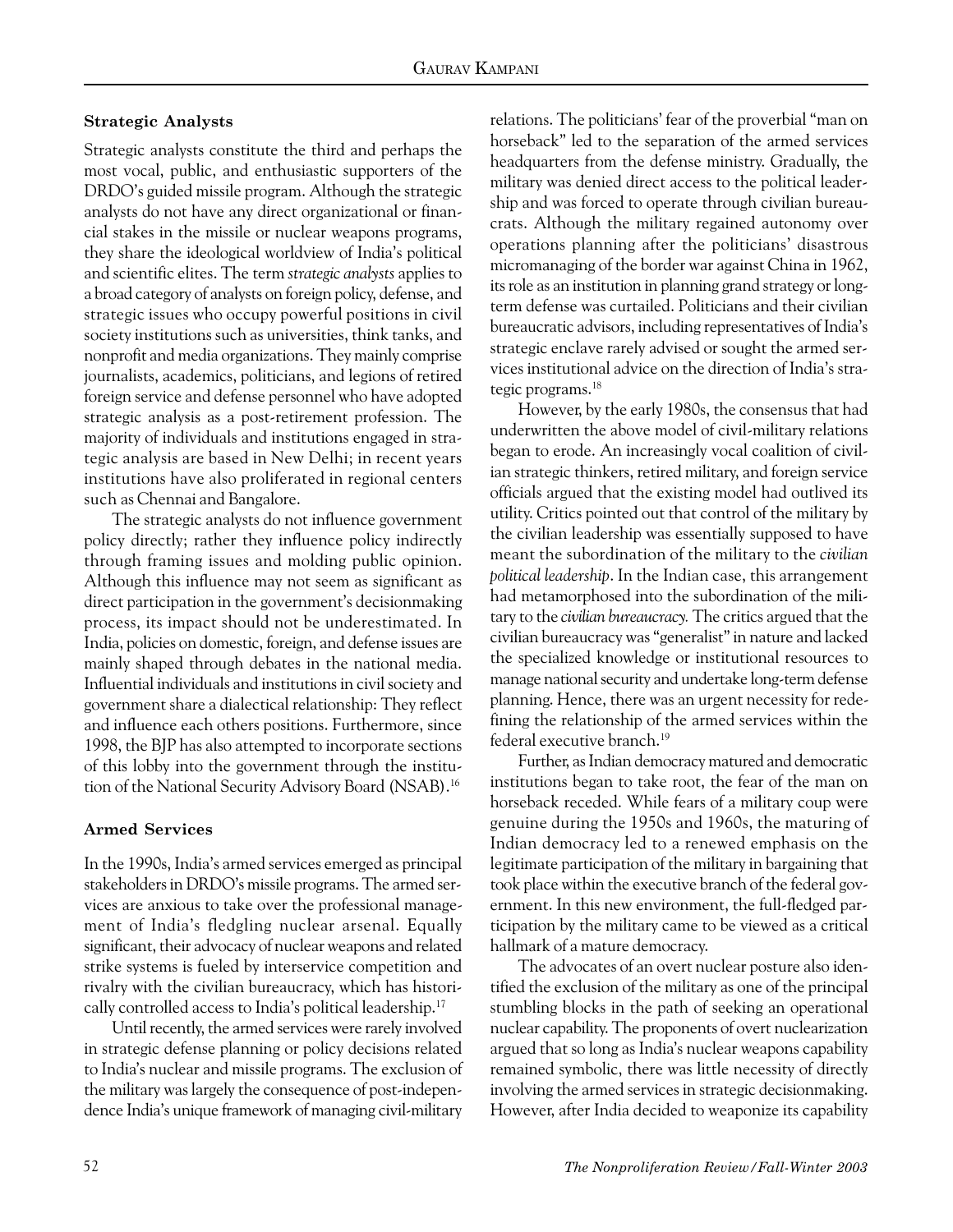#### **Strategic Analysts**

Strategic analysts constitute the third and perhaps the most vocal, public, and enthusiastic supporters of the DRDO's guided missile program. Although the strategic analysts do not have any direct organizational or financial stakes in the missile or nuclear weapons programs, they share the ideological worldview of India's political and scientific elites. The term *strategic analysts* applies to a broad category of analysts on foreign policy, defense, and strategic issues who occupy powerful positions in civil society institutions such as universities, think tanks, and nonprofit and media organizations. They mainly comprise journalists, academics, politicians, and legions of retired foreign service and defense personnel who have adopted strategic analysis as a post-retirement profession. The majority of individuals and institutions engaged in strategic analysis are based in New Delhi; in recent years institutions have also proliferated in regional centers such as Chennai and Bangalore.

The strategic analysts do not influence government policy directly; rather they influence policy indirectly through framing issues and molding public opinion. Although this influence may not seem as significant as direct participation in the government's decisionmaking process, its impact should not be underestimated. In India, policies on domestic, foreign, and defense issues are mainly shaped through debates in the national media. Influential individuals and institutions in civil society and government share a dialectical relationship: They reflect and influence each others positions. Furthermore, since 1998, the BJP has also attempted to incorporate sections of this lobby into the government through the institution of the National Security Advisory Board (NSAB).<sup>16</sup>

#### **Armed Services**

In the 1990s, India's armed services emerged as principal stakeholders in DRDO's missile programs. The armed services are anxious to take over the professional management of India's fledgling nuclear arsenal. Equally significant, their advocacy of nuclear weapons and related strike systems is fueled by interservice competition and rivalry with the civilian bureaucracy, which has historically controlled access to India's political leadership.<sup>17</sup>

Until recently, the armed services were rarely involved in strategic defense planning or policy decisions related to India's nuclear and missile programs. The exclusion of the military was largely the consequence of post-independence India's unique framework of managing civil-military relations. The politicians' fear of the proverbial "man on horseback" led to the separation of the armed services headquarters from the defense ministry. Gradually, the military was denied direct access to the political leadership and was forced to operate through civilian bureaucrats. Although the military regained autonomy over operations planning after the politicians' disastrous micromanaging of the border war against China in 1962, its role as an institution in planning grand strategy or longterm defense was curtailed. Politicians and their civilian bureaucratic advisors, including representatives of India's strategic enclave rarely advised or sought the armed services institutional advice on the direction of India's strategic programs.<sup>18</sup>

However, by the early 1980s, the consensus that had underwritten the above model of civil-military relations began to erode. An increasingly vocal coalition of civilian strategic thinkers, retired military, and foreign service officials argued that the existing model had outlived its utility. Critics pointed out that control of the military by the civilian leadership was essentially supposed to have meant the subordination of the military to the *civilian political leadership*. In the Indian case, this arrangement had metamorphosed into the subordination of the military to the *civilian bureaucracy.* The critics argued that the civilian bureaucracy was "generalist" in nature and lacked the specialized knowledge or institutional resources to manage national security and undertake long-term defense planning. Hence, there was an urgent necessity for redefining the relationship of the armed services within the federal executive branch.<sup>19</sup>

Further, as Indian democracy matured and democratic institutions began to take root, the fear of the man on horseback receded. While fears of a military coup were genuine during the 1950s and 1960s, the maturing of Indian democracy led to a renewed emphasis on the legitimate participation of the military in bargaining that took place within the executive branch of the federal government. In this new environment, the full-fledged participation by the military came to be viewed as a critical hallmark of a mature democracy.

The advocates of an overt nuclear posture also identified the exclusion of the military as one of the principal stumbling blocks in the path of seeking an operational nuclear capability. The proponents of overt nuclearization argued that so long as India's nuclear weapons capability remained symbolic, there was little necessity of directly involving the armed services in strategic decisionmaking. However, after India decided to weaponize its capability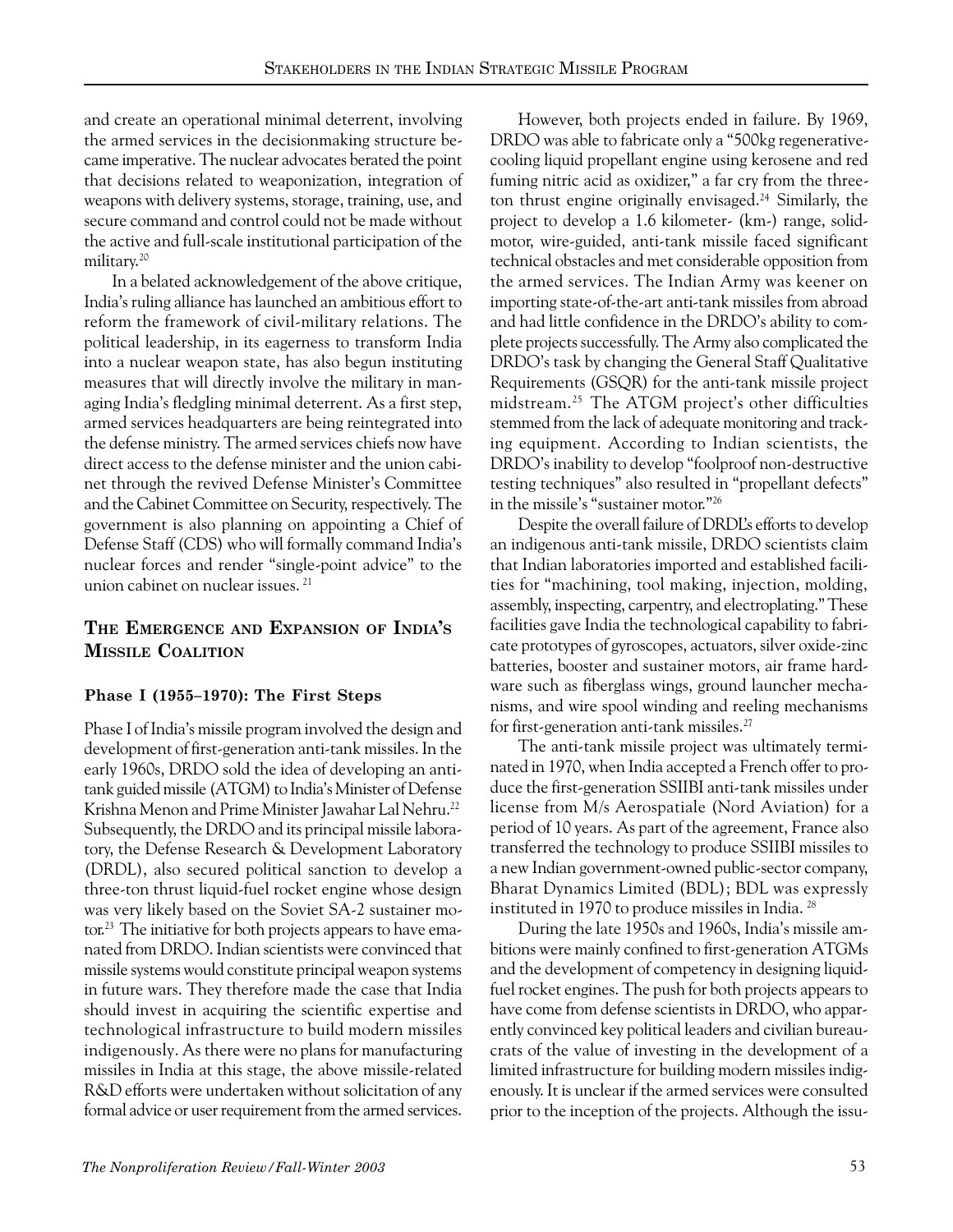and create an operational minimal deterrent, involving the armed services in the decisionmaking structure became imperative. The nuclear advocates berated the point that decisions related to weaponization, integration of weapons with delivery systems, storage, training, use, and secure command and control could not be made without the active and full-scale institutional participation of the military.<sup>20</sup>

In a belated acknowledgement of the above critique, India's ruling alliance has launched an ambitious effort to reform the framework of civil-military relations. The political leadership, in its eagerness to transform India into a nuclear weapon state, has also begun instituting measures that will directly involve the military in managing India's fledgling minimal deterrent. As a first step, armed services headquarters are being reintegrated into the defense ministry. The armed services chiefs now have direct access to the defense minister and the union cabinet through the revived Defense Minister's Committee and the Cabinet Committee on Security, respectively. The government is also planning on appointing a Chief of Defense Staff (CDS) who will formally command India's nuclear forces and render "single-point advice" to the union cabinet on nuclear issues. <sup>21</sup>

# **THE EMERGENCE AND EXPANSION OF INDIA'<sup>S</sup> MISSILE COALITION**

#### **Phase I (1955–1970): The First Steps**

Phase I of India's missile program involved the design and development of first-generation anti-tank missiles. In the early 1960s, DRDO sold the idea of developing an antitank guided missile (ATGM) to India's Minister of Defense Krishna Menon and Prime Minister Jawahar Lal Nehru.<sup>22</sup> Subsequently, the DRDO and its principal missile laboratory, the Defense Research & Development Laboratory (DRDL), also secured political sanction to develop a three-ton thrust liquid-fuel rocket engine whose design was very likely based on the Soviet SA-2 sustainer motor.<sup>23</sup> The initiative for both projects appears to have emanated from DRDO. Indian scientists were convinced that missile systems would constitute principal weapon systems in future wars. They therefore made the case that India should invest in acquiring the scientific expertise and technological infrastructure to build modern missiles indigenously. As there were no plans for manufacturing missiles in India at this stage, the above missile-related R&D efforts were undertaken without solicitation of any formal advice or user requirement from the armed services.

However, both projects ended in failure. By 1969, DRDO was able to fabricate only a "500kg regenerativecooling liquid propellant engine using kerosene and red fuming nitric acid as oxidizer," a far cry from the threeton thrust engine originally envisaged.<sup>24</sup> Similarly, the project to develop a 1.6 kilometer- (km-) range, solidmotor, wire-guided, anti-tank missile faced significant technical obstacles and met considerable opposition from the armed services. The Indian Army was keener on importing state-of-the-art anti-tank missiles from abroad and had little confidence in the DRDO's ability to complete projects successfully. The Army also complicated the DRDO's task by changing the General Staff Qualitative Requirements (GSQR) for the anti-tank missile project midstream.25 The ATGM project's other difficulties stemmed from the lack of adequate monitoring and tracking equipment. According to Indian scientists, the DRDO's inability to develop "foolproof non-destructive testing techniques" also resulted in "propellant defects" in the missile's "sustainer motor."<sup>26</sup>

Despite the overall failure of DRDL's efforts to develop an indigenous anti-tank missile, DRDO scientists claim that Indian laboratories imported and established facilities for "machining, tool making, injection, molding, assembly, inspecting, carpentry, and electroplating." These facilities gave India the technological capability to fabricate prototypes of gyroscopes, actuators, silver oxide-zinc batteries, booster and sustainer motors, air frame hardware such as fiberglass wings, ground launcher mechanisms, and wire spool winding and reeling mechanisms for first-generation anti-tank missiles.<sup>27</sup>

The anti-tank missile project was ultimately terminated in 1970, when India accepted a French offer to produce the first-generation SSIIBI anti-tank missiles under license from M/s Aerospatiale (Nord Aviation) for a period of 10 years. As part of the agreement, France also transferred the technology to produce SSIIBI missiles to a new Indian government-owned public-sector company, Bharat Dynamics Limited (BDL); BDL was expressly instituted in 1970 to produce missiles in India. <sup>28</sup>

During the late 1950s and 1960s, India's missile ambitions were mainly confined to first-generation ATGMs and the development of competency in designing liquidfuel rocket engines. The push for both projects appears to have come from defense scientists in DRDO, who apparently convinced key political leaders and civilian bureaucrats of the value of investing in the development of a limited infrastructure for building modern missiles indigenously. It is unclear if the armed services were consulted prior to the inception of the projects. Although the issu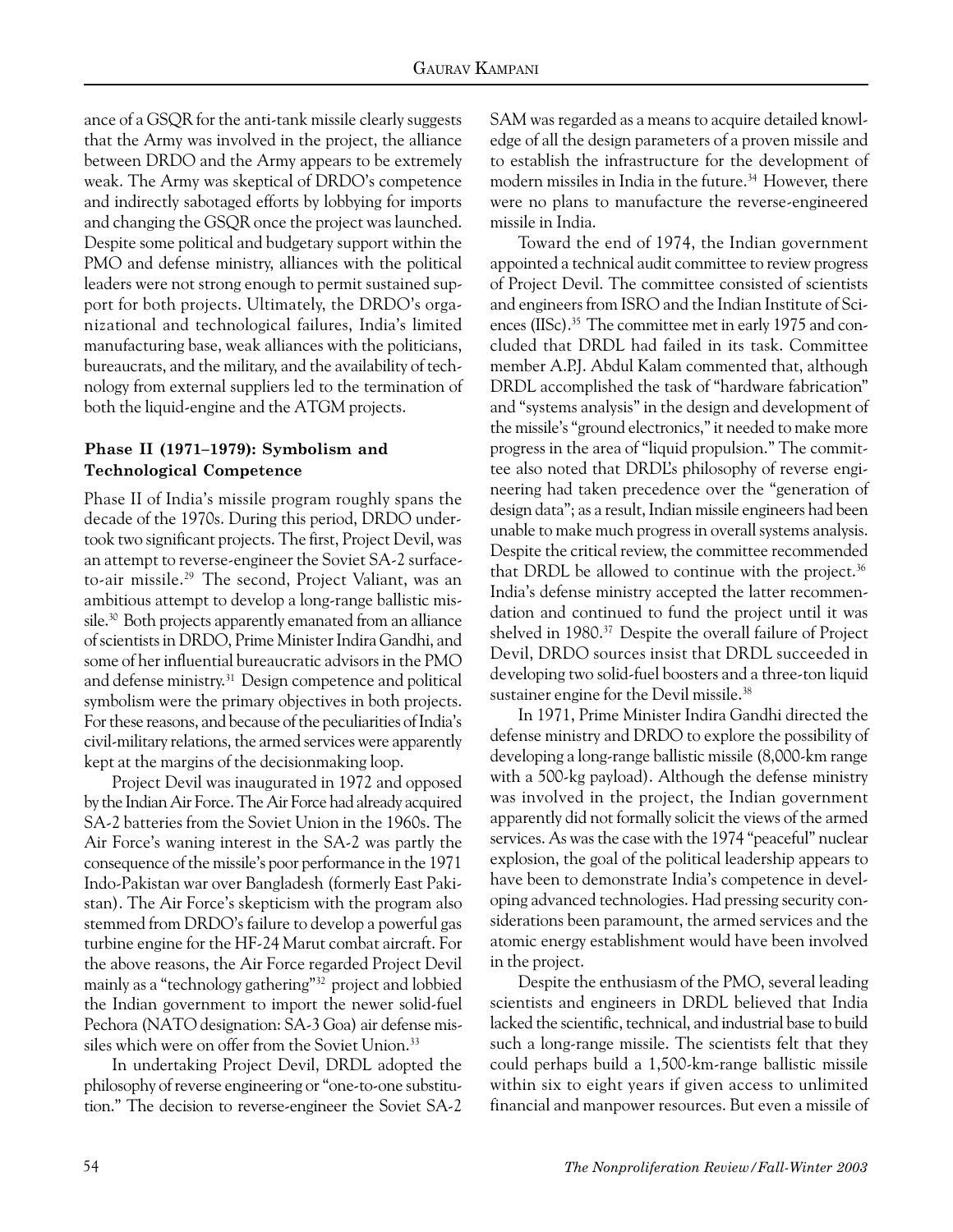ance of a GSQR for the anti-tank missile clearly suggests that the Army was involved in the project, the alliance between DRDO and the Army appears to be extremely weak. The Army was skeptical of DRDO's competence and indirectly sabotaged efforts by lobbying for imports and changing the GSQR once the project was launched. Despite some political and budgetary support within the PMO and defense ministry, alliances with the political leaders were not strong enough to permit sustained support for both projects. Ultimately, the DRDO's organizational and technological failures, India's limited manufacturing base, weak alliances with the politicians, bureaucrats, and the military, and the availability of technology from external suppliers led to the termination of both the liquid-engine and the ATGM projects.

#### **Phase II (1971–1979): Symbolism and Technological Competence**

Phase II of India's missile program roughly spans the decade of the 1970s. During this period, DRDO undertook two significant projects. The first, Project Devil, was an attempt to reverse-engineer the Soviet SA-2 surfaceto-air missile.29 The second, Project Valiant, was an ambitious attempt to develop a long-range ballistic missile.<sup>30</sup> Both projects apparently emanated from an alliance of scientists in DRDO, Prime Minister Indira Gandhi, and some of her influential bureaucratic advisors in the PMO and defense ministry.<sup>31</sup> Design competence and political symbolism were the primary objectives in both projects. For these reasons, and because of the peculiarities of India's civil-military relations, the armed services were apparently kept at the margins of the decisionmaking loop.

Project Devil was inaugurated in 1972 and opposed by the Indian Air Force. The Air Force had already acquired SA-2 batteries from the Soviet Union in the 1960s. The Air Force's waning interest in the SA-2 was partly the consequence of the missile's poor performance in the 1971 Indo-Pakistan war over Bangladesh (formerly East Pakistan). The Air Force's skepticism with the program also stemmed from DRDO's failure to develop a powerful gas turbine engine for the HF-24 Marut combat aircraft. For the above reasons, the Air Force regarded Project Devil mainly as a "technology gathering"32 project and lobbied the Indian government to import the newer solid-fuel Pechora (NATO designation: SA-3 Goa) air defense missiles which were on offer from the Soviet Union.<sup>33</sup>

In undertaking Project Devil, DRDL adopted the philosophy of reverse engineering or "one-to-one substitution." The decision to reverse-engineer the Soviet SA-2 SAM was regarded as a means to acquire detailed knowledge of all the design parameters of a proven missile and to establish the infrastructure for the development of modern missiles in India in the future.<sup>34</sup> However, there were no plans to manufacture the reverse-engineered missile in India.

Toward the end of 1974, the Indian government appointed a technical audit committee to review progress of Project Devil. The committee consisted of scientists and engineers from ISRO and the Indian Institute of Sciences (IISc).<sup>35</sup> The committee met in early 1975 and concluded that DRDL had failed in its task. Committee member A.P.J. Abdul Kalam commented that, although DRDL accomplished the task of "hardware fabrication" and "systems analysis" in the design and development of the missile's "ground electronics," it needed to make more progress in the area of "liquid propulsion." The committee also noted that DRDL's philosophy of reverse engineering had taken precedence over the "generation of design data"; as a result, Indian missile engineers had been unable to make much progress in overall systems analysis. Despite the critical review, the committee recommended that DRDL be allowed to continue with the project.<sup>36</sup> India's defense ministry accepted the latter recommendation and continued to fund the project until it was shelved in 1980.<sup>37</sup> Despite the overall failure of Project Devil, DRDO sources insist that DRDL succeeded in developing two solid-fuel boosters and a three-ton liquid sustainer engine for the Devil missile.<sup>38</sup>

In 1971, Prime Minister Indira Gandhi directed the defense ministry and DRDO to explore the possibility of developing a long-range ballistic missile (8,000-km range with a 500-kg payload). Although the defense ministry was involved in the project, the Indian government apparently did not formally solicit the views of the armed services. As was the case with the 1974 "peaceful" nuclear explosion, the goal of the political leadership appears to have been to demonstrate India's competence in developing advanced technologies. Had pressing security considerations been paramount, the armed services and the atomic energy establishment would have been involved in the project.

Despite the enthusiasm of the PMO, several leading scientists and engineers in DRDL believed that India lacked the scientific, technical, and industrial base to build such a long-range missile. The scientists felt that they could perhaps build a 1,500-km-range ballistic missile within six to eight years if given access to unlimited financial and manpower resources. But even a missile of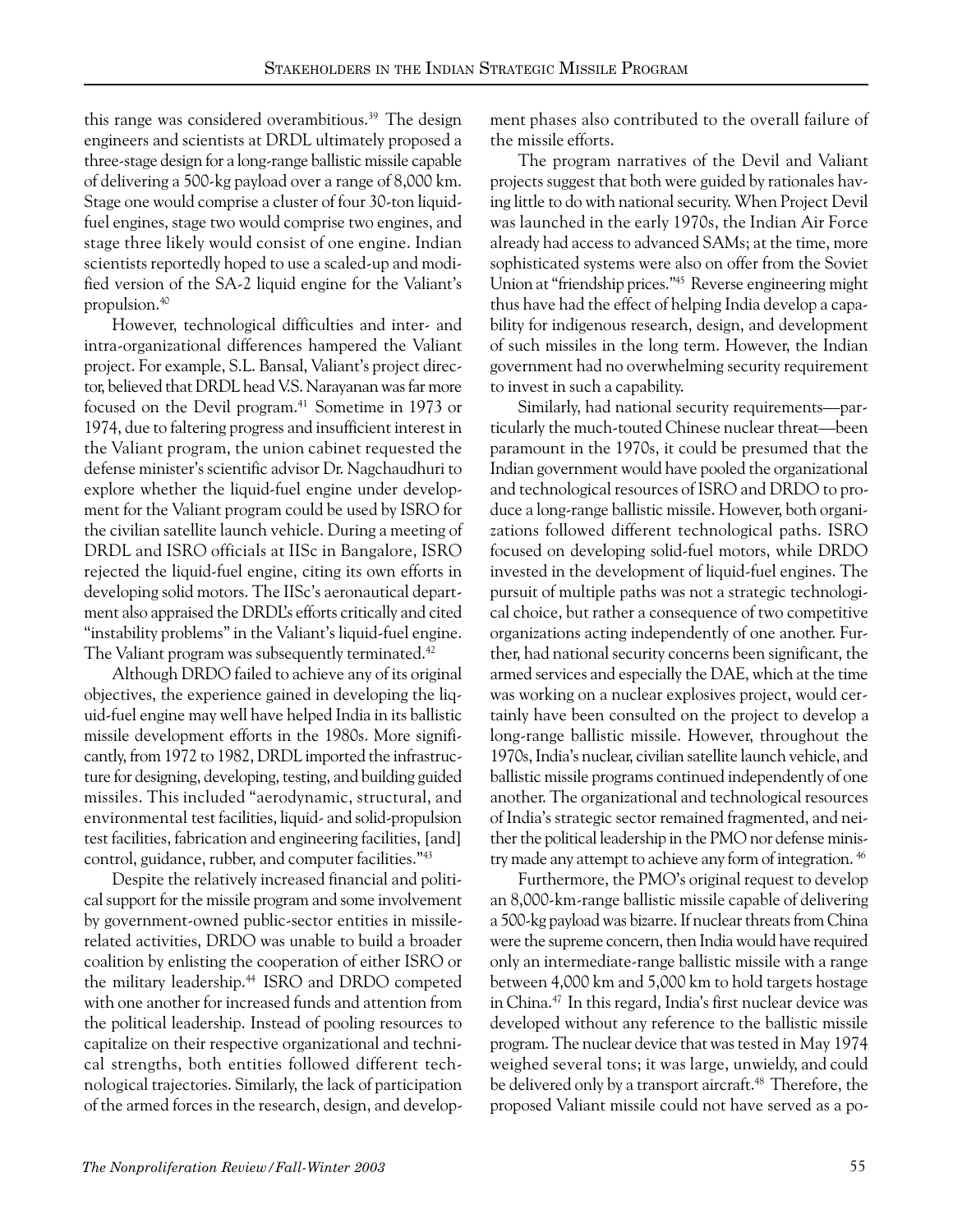this range was considered overambitious.<sup>39</sup> The design engineers and scientists at DRDL ultimately proposed a three-stage design for a long-range ballistic missile capable of delivering a 500-kg payload over a range of 8,000 km. Stage one would comprise a cluster of four 30-ton liquidfuel engines, stage two would comprise two engines, and stage three likely would consist of one engine. Indian scientists reportedly hoped to use a scaled-up and modified version of the SA-2 liquid engine for the Valiant's propulsion.<sup>40</sup>

However, technological difficulties and inter- and intra-organizational differences hampered the Valiant project. For example, S.L. Bansal, Valiant's project director, believed that DRDL head V.S. Narayanan was far more focused on the Devil program.<sup>41</sup> Sometime in 1973 or 1974, due to faltering progress and insufficient interest in the Valiant program, the union cabinet requested the defense minister's scientific advisor Dr. Nagchaudhuri to explore whether the liquid-fuel engine under development for the Valiant program could be used by ISRO for the civilian satellite launch vehicle. During a meeting of DRDL and ISRO officials at IISc in Bangalore, ISRO rejected the liquid-fuel engine, citing its own efforts in developing solid motors. The IISc's aeronautical department also appraised the DRDL's efforts critically and cited "instability problems" in the Valiant's liquid-fuel engine. The Valiant program was subsequently terminated.<sup>42</sup>

Although DRDO failed to achieve any of its original objectives, the experience gained in developing the liquid-fuel engine may well have helped India in its ballistic missile development efforts in the 1980s. More significantly, from 1972 to 1982, DRDL imported the infrastructure for designing, developing, testing, and building guided missiles. This included "aerodynamic, structural, and environmental test facilities, liquid- and solid-propulsion test facilities, fabrication and engineering facilities, [and] control, guidance, rubber, and computer facilities."<sup>43</sup>

Despite the relatively increased financial and political support for the missile program and some involvement by government-owned public-sector entities in missilerelated activities, DRDO was unable to build a broader coalition by enlisting the cooperation of either ISRO or the military leadership.44 ISRO and DRDO competed with one another for increased funds and attention from the political leadership. Instead of pooling resources to capitalize on their respective organizational and technical strengths, both entities followed different technological trajectories. Similarly, the lack of participation of the armed forces in the research, design, and development phases also contributed to the overall failure of the missile efforts.

The program narratives of the Devil and Valiant projects suggest that both were guided by rationales having little to do with national security. When Project Devil was launched in the early 1970s, the Indian Air Force already had access to advanced SAMs; at the time, more sophisticated systems were also on offer from the Soviet Union at "friendship prices."45 Reverse engineering might thus have had the effect of helping India develop a capability for indigenous research, design, and development of such missiles in the long term. However, the Indian government had no overwhelming security requirement to invest in such a capability.

Similarly, had national security requirements—particularly the much-touted Chinese nuclear threat—been paramount in the 1970s, it could be presumed that the Indian government would have pooled the organizational and technological resources of ISRO and DRDO to produce a long-range ballistic missile. However, both organizations followed different technological paths. ISRO focused on developing solid-fuel motors, while DRDO invested in the development of liquid-fuel engines. The pursuit of multiple paths was not a strategic technological choice, but rather a consequence of two competitive organizations acting independently of one another. Further, had national security concerns been significant, the armed services and especially the DAE, which at the time was working on a nuclear explosives project, would certainly have been consulted on the project to develop a long-range ballistic missile. However, throughout the 1970s, India's nuclear, civilian satellite launch vehicle, and ballistic missile programs continued independently of one another. The organizational and technological resources of India's strategic sector remained fragmented, and neither the political leadership in the PMO nor defense ministry made any attempt to achieve any form of integration. <sup>46</sup>

Furthermore, the PMO's original request to develop an 8,000-km-range ballistic missile capable of delivering a 500-kg payload was bizarre. If nuclear threats from China were the supreme concern, then India would have required only an intermediate-range ballistic missile with a range between 4,000 km and 5,000 km to hold targets hostage in China.47 In this regard, India's first nuclear device was developed without any reference to the ballistic missile program. The nuclear device that was tested in May 1974 weighed several tons; it was large, unwieldy, and could be delivered only by a transport aircraft.<sup>48</sup> Therefore, the proposed Valiant missile could not have served as a po-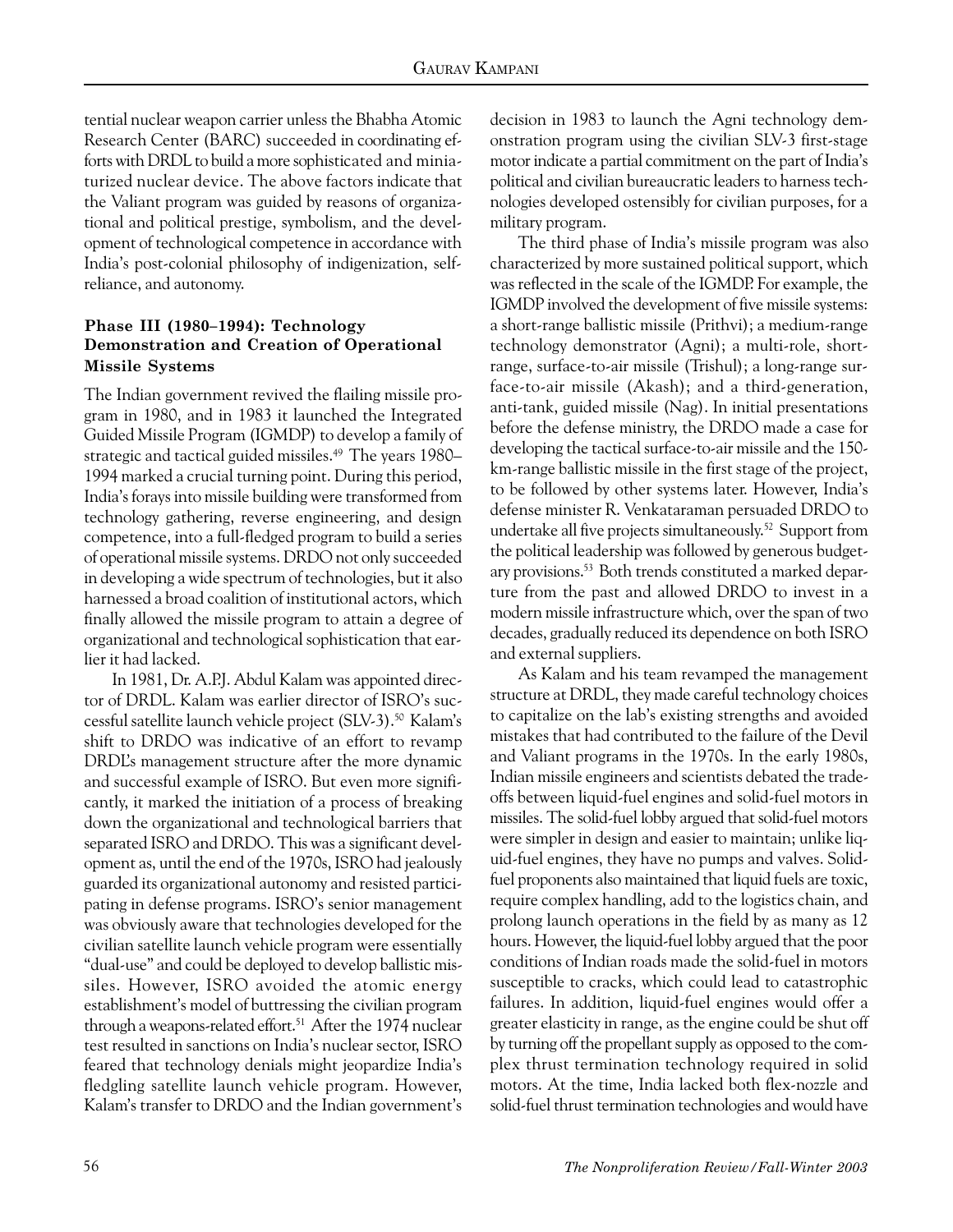tential nuclear weapon carrier unless the Bhabha Atomic Research Center (BARC) succeeded in coordinating efforts with DRDL to build a more sophisticated and miniaturized nuclear device. The above factors indicate that the Valiant program was guided by reasons of organizational and political prestige, symbolism, and the development of technological competence in accordance with India's post-colonial philosophy of indigenization, selfreliance, and autonomy.

#### **Phase III (1980–1994): Technology Demonstration and Creation of Operational Missile Systems**

The Indian government revived the flailing missile program in 1980, and in 1983 it launched the Integrated Guided Missile Program (IGMDP) to develop a family of strategic and tactical guided missiles.<sup>49</sup> The years 1980– 1994 marked a crucial turning point. During this period, India's forays into missile building were transformed from technology gathering, reverse engineering, and design competence, into a full-fledged program to build a series of operational missile systems. DRDO not only succeeded in developing a wide spectrum of technologies, but it also harnessed a broad coalition of institutional actors, which finally allowed the missile program to attain a degree of organizational and technological sophistication that earlier it had lacked.

In 1981, Dr. A.P.J. Abdul Kalam was appointed director of DRDL. Kalam was earlier director of ISRO's successful satellite launch vehicle project (SLV-3).<sup>50</sup> Kalam's shift to DRDO was indicative of an effort to revamp DRDL's management structure after the more dynamic and successful example of ISRO. But even more significantly, it marked the initiation of a process of breaking down the organizational and technological barriers that separated ISRO and DRDO. This was a significant development as, until the end of the 1970s, ISRO had jealously guarded its organizational autonomy and resisted participating in defense programs. ISRO's senior management was obviously aware that technologies developed for the civilian satellite launch vehicle program were essentially "dual-use" and could be deployed to develop ballistic missiles. However, ISRO avoided the atomic energy establishment's model of buttressing the civilian program through a weapons-related effort.<sup>51</sup> After the 1974 nuclear test resulted in sanctions on India's nuclear sector, ISRO feared that technology denials might jeopardize India's fledgling satellite launch vehicle program. However, Kalam's transfer to DRDO and the Indian government's decision in 1983 to launch the Agni technology demonstration program using the civilian SLV-3 first-stage motor indicate a partial commitment on the part of India's political and civilian bureaucratic leaders to harness technologies developed ostensibly for civilian purposes, for a military program.

The third phase of India's missile program was also characterized by more sustained political support, which was reflected in the scale of the IGMDP. For example, the IGMDP involved the development of five missile systems: a short-range ballistic missile (Prithvi); a medium-range technology demonstrator (Agni); a multi-role, shortrange, surface-to-air missile (Trishul); a long-range surface-to-air missile (Akash); and a third-generation, anti-tank, guided missile (Nag). In initial presentations before the defense ministry, the DRDO made a case for developing the tactical surface-to-air missile and the 150 km-range ballistic missile in the first stage of the project, to be followed by other systems later. However, India's defense minister R. Venkataraman persuaded DRDO to undertake all five projects simultaneously.<sup>52</sup> Support from the political leadership was followed by generous budgetary provisions.53 Both trends constituted a marked departure from the past and allowed DRDO to invest in a modern missile infrastructure which, over the span of two decades, gradually reduced its dependence on both ISRO and external suppliers.

As Kalam and his team revamped the management structure at DRDL, they made careful technology choices to capitalize on the lab's existing strengths and avoided mistakes that had contributed to the failure of the Devil and Valiant programs in the 1970s. In the early 1980s, Indian missile engineers and scientists debated the tradeoffs between liquid-fuel engines and solid-fuel motors in missiles. The solid-fuel lobby argued that solid-fuel motors were simpler in design and easier to maintain; unlike liquid-fuel engines, they have no pumps and valves. Solidfuel proponents also maintained that liquid fuels are toxic, require complex handling, add to the logistics chain, and prolong launch operations in the field by as many as 12 hours. However, the liquid-fuel lobby argued that the poor conditions of Indian roads made the solid-fuel in motors susceptible to cracks, which could lead to catastrophic failures. In addition, liquid-fuel engines would offer a greater elasticity in range, as the engine could be shut off by turning off the propellant supply as opposed to the complex thrust termination technology required in solid motors. At the time, India lacked both flex-nozzle and solid-fuel thrust termination technologies and would have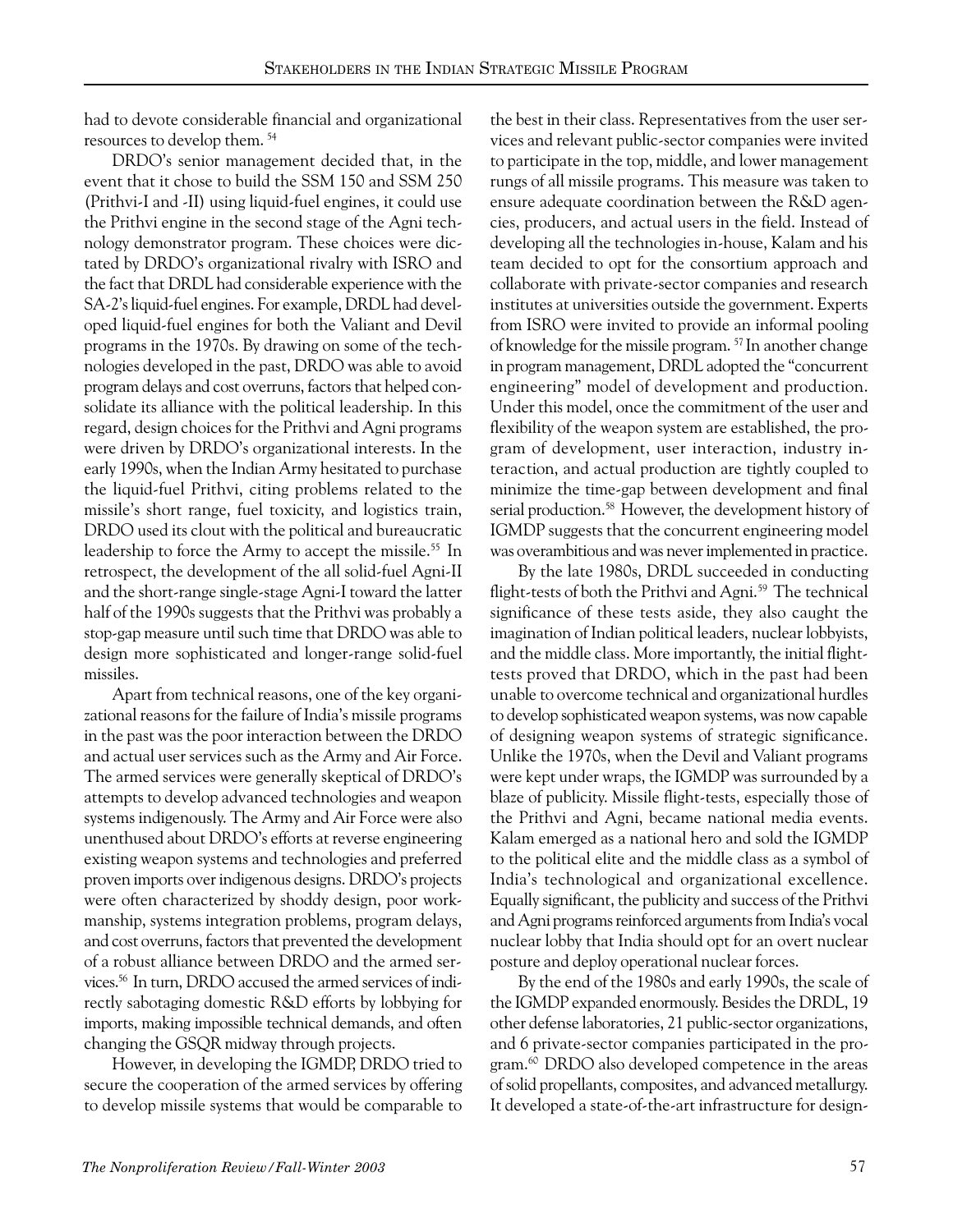had to devote considerable financial and organizational resources to develop them. <sup>54</sup>

DRDO's senior management decided that, in the event that it chose to build the SSM 150 and SSM 250 (Prithvi-I and -II) using liquid-fuel engines, it could use the Prithvi engine in the second stage of the Agni technology demonstrator program. These choices were dictated by DRDO's organizational rivalry with ISRO and the fact that DRDL had considerable experience with the SA-2's liquid-fuel engines. For example, DRDL had developed liquid-fuel engines for both the Valiant and Devil programs in the 1970s. By drawing on some of the technologies developed in the past, DRDO was able to avoid program delays and cost overruns, factors that helped consolidate its alliance with the political leadership. In this regard, design choices for the Prithvi and Agni programs were driven by DRDO's organizational interests. In the early 1990s, when the Indian Army hesitated to purchase the liquid-fuel Prithvi, citing problems related to the missile's short range, fuel toxicity, and logistics train, DRDO used its clout with the political and bureaucratic leadership to force the Army to accept the missile.<sup>55</sup> In retrospect, the development of the all solid-fuel Agni-II and the short-range single-stage Agni-I toward the latter half of the 1990s suggests that the Prithvi was probably a stop-gap measure until such time that DRDO was able to design more sophisticated and longer-range solid-fuel missiles.

Apart from technical reasons, one of the key organizational reasons for the failure of India's missile programs in the past was the poor interaction between the DRDO and actual user services such as the Army and Air Force. The armed services were generally skeptical of DRDO's attempts to develop advanced technologies and weapon systems indigenously. The Army and Air Force were also unenthused about DRDO's efforts at reverse engineering existing weapon systems and technologies and preferred proven imports over indigenous designs. DRDO's projects were often characterized by shoddy design, poor workmanship, systems integration problems, program delays, and cost overruns, factors that prevented the development of a robust alliance between DRDO and the armed services.56 In turn, DRDO accused the armed services of indirectly sabotaging domestic R&D efforts by lobbying for imports, making impossible technical demands, and often changing the GSQR midway through projects.

However, in developing the IGMDP, DRDO tried to secure the cooperation of the armed services by offering to develop missile systems that would be comparable to

the best in their class. Representatives from the user services and relevant public-sector companies were invited to participate in the top, middle, and lower management rungs of all missile programs. This measure was taken to ensure adequate coordination between the R&D agencies, producers, and actual users in the field. Instead of developing all the technologies in-house, Kalam and his team decided to opt for the consortium approach and collaborate with private-sector companies and research institutes at universities outside the government. Experts from ISRO were invited to provide an informal pooling of knowledge for the missile program. <sup>57</sup> In another change in program management, DRDL adopted the "concurrent engineering" model of development and production. Under this model, once the commitment of the user and flexibility of the weapon system are established, the program of development, user interaction, industry interaction, and actual production are tightly coupled to minimize the time-gap between development and final serial production.<sup>58</sup> However, the development history of IGMDP suggests that the concurrent engineering model was overambitious and was never implemented in practice.

By the late 1980s, DRDL succeeded in conducting flight-tests of both the Prithvi and Agni.<sup>59</sup> The technical significance of these tests aside, they also caught the imagination of Indian political leaders, nuclear lobbyists, and the middle class. More importantly, the initial flighttests proved that DRDO, which in the past had been unable to overcome technical and organizational hurdles to develop sophisticated weapon systems, was now capable of designing weapon systems of strategic significance. Unlike the 1970s, when the Devil and Valiant programs were kept under wraps, the IGMDP was surrounded by a blaze of publicity. Missile flight-tests, especially those of the Prithvi and Agni, became national media events. Kalam emerged as a national hero and sold the IGMDP to the political elite and the middle class as a symbol of India's technological and organizational excellence. Equally significant, the publicity and success of the Prithvi and Agni programs reinforced arguments from India's vocal nuclear lobby that India should opt for an overt nuclear posture and deploy operational nuclear forces.

By the end of the 1980s and early 1990s, the scale of the IGMDP expanded enormously. Besides the DRDL, 19 other defense laboratories, 21 public-sector organizations, and 6 private-sector companies participated in the program.60 DRDO also developed competence in the areas of solid propellants, composites, and advanced metallurgy. It developed a state-of-the-art infrastructure for design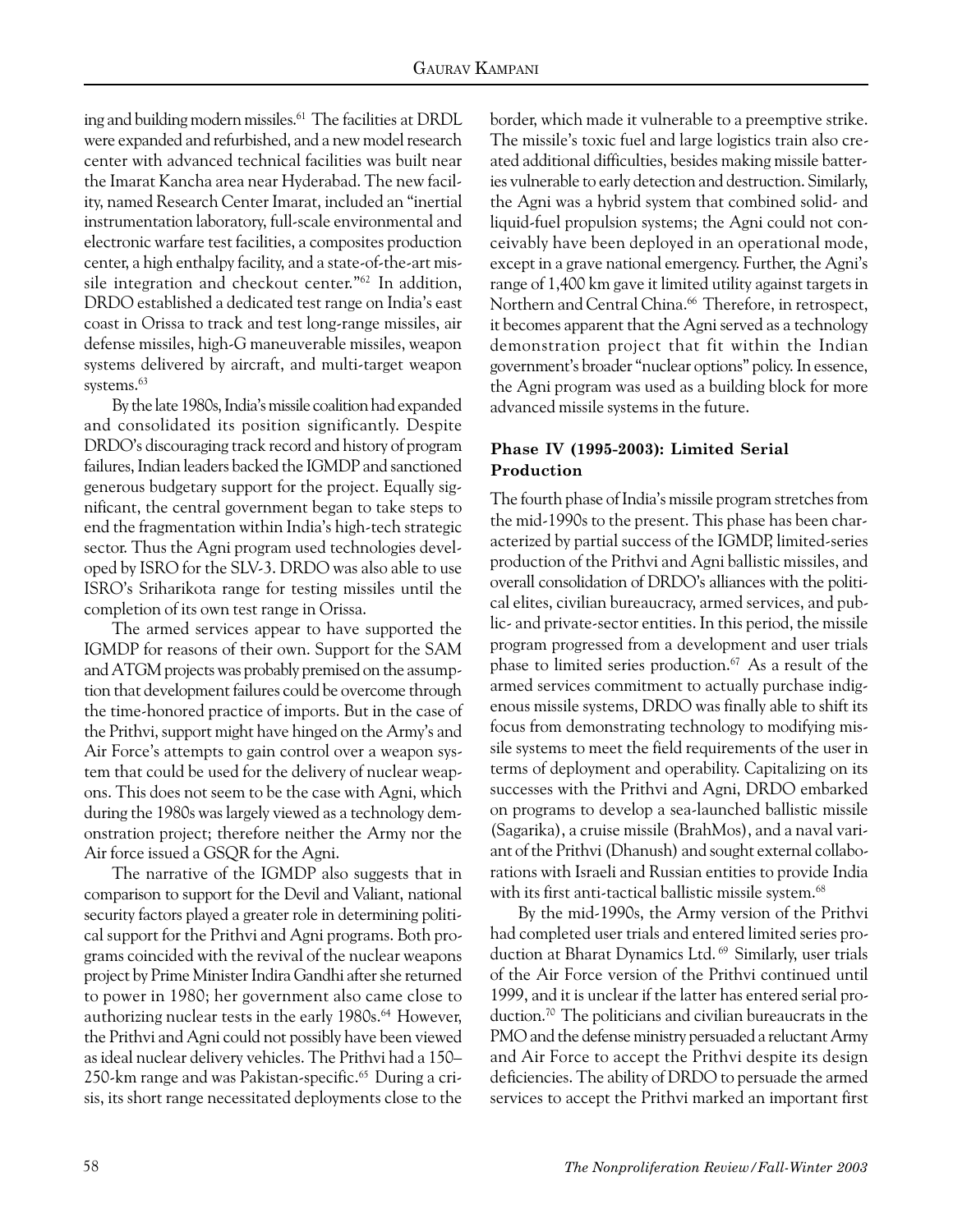ing and building modern missiles.<sup>61</sup> The facilities at DRDL were expanded and refurbished, and a new model research center with advanced technical facilities was built near the Imarat Kancha area near Hyderabad. The new facility, named Research Center Imarat, included an "inertial instrumentation laboratory, full-scale environmental and electronic warfare test facilities, a composites production center, a high enthalpy facility, and a state-of-the-art missile integration and checkout center."62 In addition, DRDO established a dedicated test range on India's east coast in Orissa to track and test long-range missiles, air defense missiles, high-G maneuverable missiles, weapon systems delivered by aircraft, and multi-target weapon systems.<sup>63</sup>

By the late 1980s, India's missile coalition had expanded and consolidated its position significantly. Despite DRDO's discouraging track record and history of program failures, Indian leaders backed the IGMDP and sanctioned generous budgetary support for the project. Equally significant, the central government began to take steps to end the fragmentation within India's high-tech strategic sector. Thus the Agni program used technologies developed by ISRO for the SLV-3. DRDO was also able to use ISRO's Sriharikota range for testing missiles until the completion of its own test range in Orissa.

The armed services appear to have supported the IGMDP for reasons of their own. Support for the SAM and ATGM projects was probably premised on the assumption that development failures could be overcome through the time-honored practice of imports. But in the case of the Prithvi, support might have hinged on the Army's and Air Force's attempts to gain control over a weapon system that could be used for the delivery of nuclear weapons. This does not seem to be the case with Agni, which during the 1980s was largely viewed as a technology demonstration project; therefore neither the Army nor the Air force issued a GSQR for the Agni.

The narrative of the IGMDP also suggests that in comparison to support for the Devil and Valiant, national security factors played a greater role in determining political support for the Prithvi and Agni programs. Both programs coincided with the revival of the nuclear weapons project by Prime Minister Indira Gandhi after she returned to power in 1980; her government also came close to authorizing nuclear tests in the early 1980s.<sup>64</sup> However, the Prithvi and Agni could not possibly have been viewed as ideal nuclear delivery vehicles. The Prithvi had a 150– 250-km range and was Pakistan-specific.<sup>65</sup> During a crisis, its short range necessitated deployments close to the border, which made it vulnerable to a preemptive strike. The missile's toxic fuel and large logistics train also created additional difficulties, besides making missile batteries vulnerable to early detection and destruction. Similarly, the Agni was a hybrid system that combined solid- and liquid-fuel propulsion systems; the Agni could not conceivably have been deployed in an operational mode, except in a grave national emergency. Further, the Agni's range of 1,400 km gave it limited utility against targets in Northern and Central China.<sup>66</sup> Therefore, in retrospect, it becomes apparent that the Agni served as a technology demonstration project that fit within the Indian government's broader "nuclear options" policy. In essence, the Agni program was used as a building block for more advanced missile systems in the future.

## **Phase IV (1995-2003): Limited Serial Production**

The fourth phase of India's missile program stretches from the mid-1990s to the present. This phase has been characterized by partial success of the IGMDP, limited-series production of the Prithvi and Agni ballistic missiles, and overall consolidation of DRDO's alliances with the political elites, civilian bureaucracy, armed services, and public- and private-sector entities. In this period, the missile program progressed from a development and user trials phase to limited series production.<sup>67</sup> As a result of the armed services commitment to actually purchase indigenous missile systems, DRDO was finally able to shift its focus from demonstrating technology to modifying missile systems to meet the field requirements of the user in terms of deployment and operability. Capitalizing on its successes with the Prithvi and Agni, DRDO embarked on programs to develop a sea-launched ballistic missile (Sagarika), a cruise missile (BrahMos), and a naval variant of the Prithvi (Dhanush) and sought external collaborations with Israeli and Russian entities to provide India with its first anti-tactical ballistic missile system.<sup>68</sup>

By the mid-1990s, the Army version of the Prithvi had completed user trials and entered limited series production at Bharat Dynamics Ltd. 69 Similarly, user trials of the Air Force version of the Prithvi continued until 1999, and it is unclear if the latter has entered serial production.70 The politicians and civilian bureaucrats in the PMO and the defense ministry persuaded a reluctant Army and Air Force to accept the Prithvi despite its design deficiencies. The ability of DRDO to persuade the armed services to accept the Prithvi marked an important first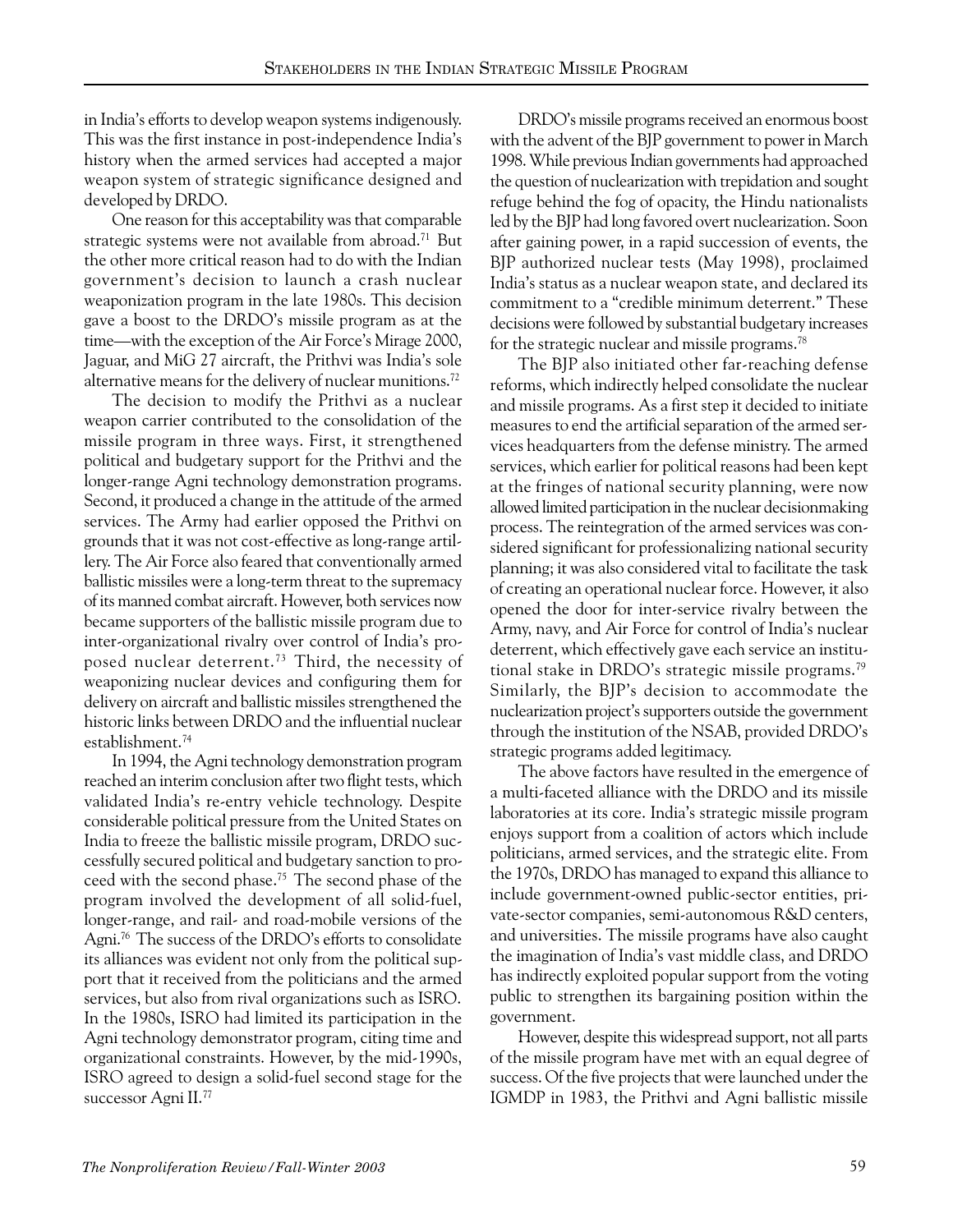in India's efforts to develop weapon systems indigenously. This was the first instance in post-independence India's history when the armed services had accepted a major weapon system of strategic significance designed and developed by DRDO.

One reason for this acceptability was that comparable strategic systems were not available from abroad.<sup>71</sup> But the other more critical reason had to do with the Indian government's decision to launch a crash nuclear weaponization program in the late 1980s. This decision gave a boost to the DRDO's missile program as at the time—with the exception of the Air Force's Mirage 2000, Jaguar, and MiG 27 aircraft, the Prithvi was India's sole alternative means for the delivery of nuclear munitions.<sup>72</sup>

The decision to modify the Prithvi as a nuclear weapon carrier contributed to the consolidation of the missile program in three ways. First, it strengthened political and budgetary support for the Prithvi and the longer-range Agni technology demonstration programs. Second, it produced a change in the attitude of the armed services. The Army had earlier opposed the Prithvi on grounds that it was not cost-effective as long-range artillery. The Air Force also feared that conventionally armed ballistic missiles were a long-term threat to the supremacy of its manned combat aircraft. However, both services now became supporters of the ballistic missile program due to inter-organizational rivalry over control of India's proposed nuclear deterrent.73 Third, the necessity of weaponizing nuclear devices and configuring them for delivery on aircraft and ballistic missiles strengthened the historic links between DRDO and the influential nuclear establishment.<sup>74</sup>

In 1994, the Agni technology demonstration program reached an interim conclusion after two flight tests, which validated India's re-entry vehicle technology. Despite considerable political pressure from the United States on India to freeze the ballistic missile program, DRDO successfully secured political and budgetary sanction to proceed with the second phase.75 The second phase of the program involved the development of all solid-fuel, longer-range, and rail- and road-mobile versions of the Agni.<sup>76</sup> The success of the DRDO's efforts to consolidate its alliances was evident not only from the political support that it received from the politicians and the armed services, but also from rival organizations such as ISRO. In the 1980s, ISRO had limited its participation in the Agni technology demonstrator program, citing time and organizational constraints. However, by the mid-1990s, ISRO agreed to design a solid-fuel second stage for the successor Agni II.<sup>77</sup>

DRDO's missile programs received an enormous boost with the advent of the BJP government to power in March 1998. While previous Indian governments had approached the question of nuclearization with trepidation and sought refuge behind the fog of opacity, the Hindu nationalists led by the BJP had long favored overt nuclearization. Soon after gaining power, in a rapid succession of events, the BJP authorized nuclear tests (May 1998), proclaimed India's status as a nuclear weapon state, and declared its commitment to a "credible minimum deterrent." These decisions were followed by substantial budgetary increases for the strategic nuclear and missile programs.<sup>78</sup>

The BJP also initiated other far-reaching defense reforms, which indirectly helped consolidate the nuclear and missile programs. As a first step it decided to initiate measures to end the artificial separation of the armed services headquarters from the defense ministry. The armed services, which earlier for political reasons had been kept at the fringes of national security planning, were now allowed limited participation in the nuclear decisionmaking process. The reintegration of the armed services was considered significant for professionalizing national security planning; it was also considered vital to facilitate the task of creating an operational nuclear force. However, it also opened the door for inter-service rivalry between the Army, navy, and Air Force for control of India's nuclear deterrent, which effectively gave each service an institutional stake in DRDO's strategic missile programs.<sup>79</sup> Similarly, the BJP's decision to accommodate the nuclearization project's supporters outside the government through the institution of the NSAB, provided DRDO's strategic programs added legitimacy.

The above factors have resulted in the emergence of a multi-faceted alliance with the DRDO and its missile laboratories at its core. India's strategic missile program enjoys support from a coalition of actors which include politicians, armed services, and the strategic elite. From the 1970s, DRDO has managed to expand this alliance to include government-owned public-sector entities, private-sector companies, semi-autonomous R&D centers, and universities. The missile programs have also caught the imagination of India's vast middle class, and DRDO has indirectly exploited popular support from the voting public to strengthen its bargaining position within the government.

However, despite this widespread support, not all parts of the missile program have met with an equal degree of success. Of the five projects that were launched under the IGMDP in 1983, the Prithvi and Agni ballistic missile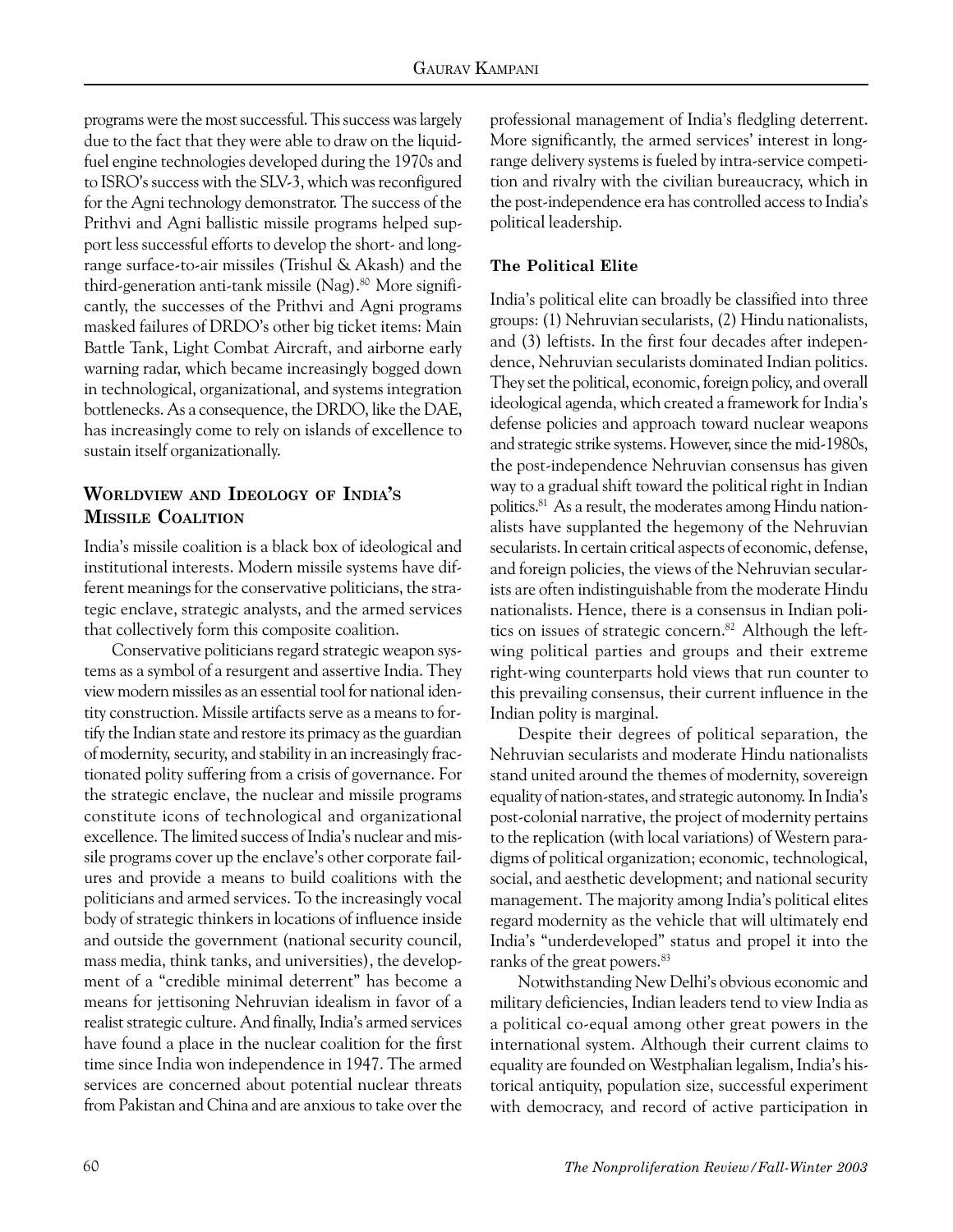programs were the most successful. This success was largely due to the fact that they were able to draw on the liquidfuel engine technologies developed during the 1970s and to ISRO's success with the SLV-3, which was reconfigured for the Agni technology demonstrator. The success of the Prithvi and Agni ballistic missile programs helped support less successful efforts to develop the short- and longrange surface-to-air missiles (Trishul & Akash) and the third-generation anti-tank missile (Nag).<sup>80</sup> More significantly, the successes of the Prithvi and Agni programs masked failures of DRDO's other big ticket items: Main Battle Tank, Light Combat Aircraft, and airborne early warning radar, which became increasingly bogged down in technological, organizational, and systems integration bottlenecks. As a consequence, the DRDO, like the DAE, has increasingly come to rely on islands of excellence to sustain itself organizationally.

# **WORLDVIEW AND IDEOLOGY OF INDIA'<sup>S</sup> MISSILE COALITION**

India's missile coalition is a black box of ideological and institutional interests. Modern missile systems have different meanings for the conservative politicians, the strategic enclave, strategic analysts, and the armed services that collectively form this composite coalition.

Conservative politicians regard strategic weapon systems as a symbol of a resurgent and assertive India. They view modern missiles as an essential tool for national identity construction. Missile artifacts serve as a means to fortify the Indian state and restore its primacy as the guardian of modernity, security, and stability in an increasingly fractionated polity suffering from a crisis of governance. For the strategic enclave, the nuclear and missile programs constitute icons of technological and organizational excellence. The limited success of India's nuclear and missile programs cover up the enclave's other corporate failures and provide a means to build coalitions with the politicians and armed services. To the increasingly vocal body of strategic thinkers in locations of influence inside and outside the government (national security council, mass media, think tanks, and universities), the development of a "credible minimal deterrent" has become a means for jettisoning Nehruvian idealism in favor of a realist strategic culture. And finally, India's armed services have found a place in the nuclear coalition for the first time since India won independence in 1947. The armed services are concerned about potential nuclear threats from Pakistan and China and are anxious to take over the professional management of India's fledgling deterrent. More significantly, the armed services' interest in longrange delivery systems is fueled by intra-service competition and rivalry with the civilian bureaucracy, which in the post-independence era has controlled access to India's political leadership.

## **The Political Elite**

India's political elite can broadly be classified into three groups: (1) Nehruvian secularists, (2) Hindu nationalists, and (3) leftists. In the first four decades after independence, Nehruvian secularists dominated Indian politics. They set the political, economic, foreign policy, and overall ideological agenda, which created a framework for India's defense policies and approach toward nuclear weapons and strategic strike systems. However, since the mid-1980s, the post-independence Nehruvian consensus has given way to a gradual shift toward the political right in Indian politics.81 As a result, the moderates among Hindu nationalists have supplanted the hegemony of the Nehruvian secularists. In certain critical aspects of economic, defense, and foreign policies, the views of the Nehruvian secularists are often indistinguishable from the moderate Hindu nationalists. Hence, there is a consensus in Indian politics on issues of strategic concern.<sup>82</sup> Although the leftwing political parties and groups and their extreme right-wing counterparts hold views that run counter to this prevailing consensus, their current influence in the Indian polity is marginal.

Despite their degrees of political separation, the Nehruvian secularists and moderate Hindu nationalists stand united around the themes of modernity, sovereign equality of nation-states, and strategic autonomy. In India's post-colonial narrative, the project of modernity pertains to the replication (with local variations) of Western paradigms of political organization; economic, technological, social, and aesthetic development; and national security management. The majority among India's political elites regard modernity as the vehicle that will ultimately end India's "underdeveloped" status and propel it into the ranks of the great powers.<sup>83</sup>

Notwithstanding New Delhi's obvious economic and military deficiencies, Indian leaders tend to view India as a political co-equal among other great powers in the international system. Although their current claims to equality are founded on Westphalian legalism, India's historical antiquity, population size, successful experiment with democracy, and record of active participation in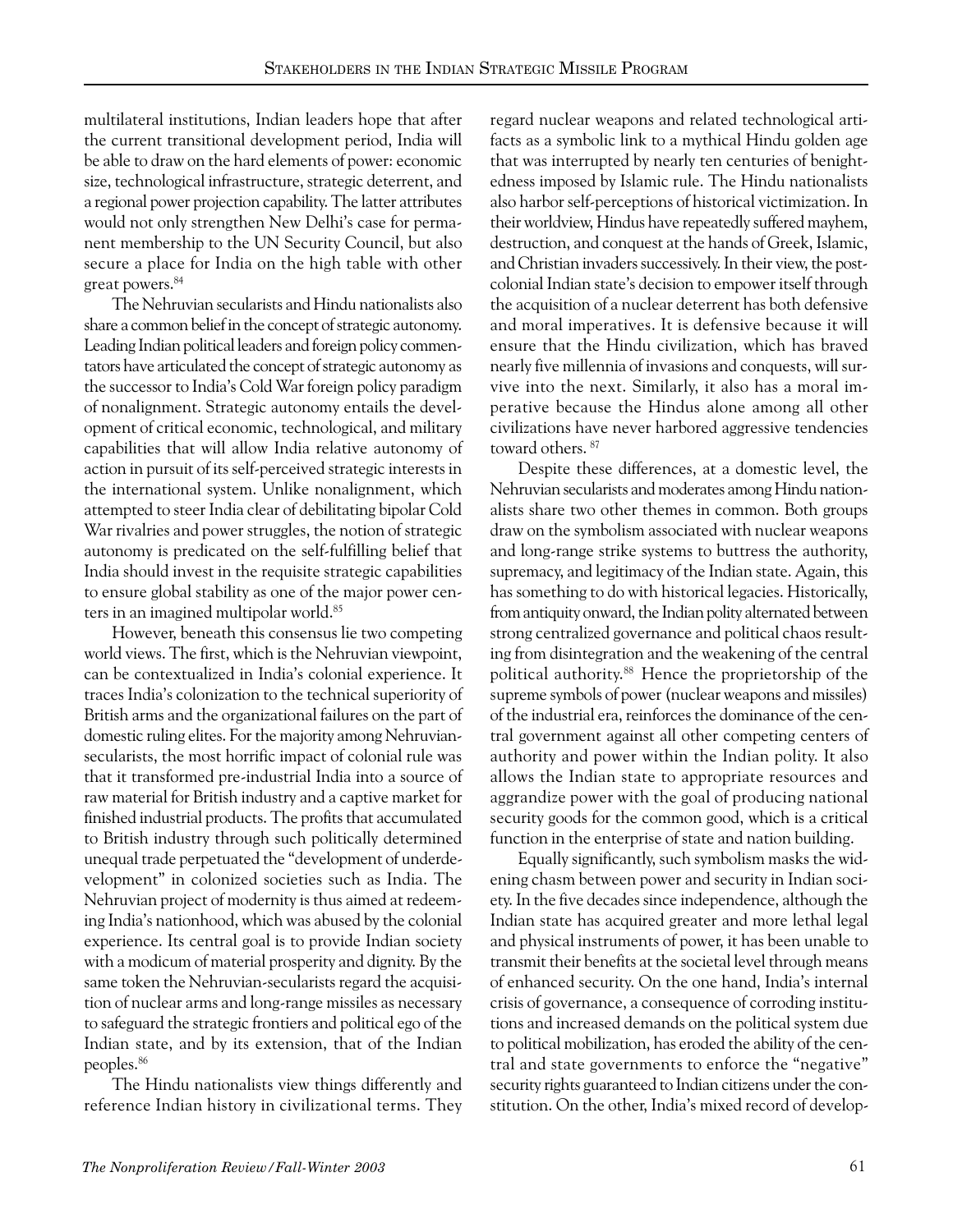multilateral institutions, Indian leaders hope that after the current transitional development period, India will be able to draw on the hard elements of power: economic size, technological infrastructure, strategic deterrent, and a regional power projection capability. The latter attributes would not only strengthen New Delhi's case for permanent membership to the UN Security Council, but also secure a place for India on the high table with other great powers.<sup>84</sup>

The Nehruvian secularists and Hindu nationalists also share a common belief in the concept of strategic autonomy. Leading Indian political leaders and foreign policy commentators have articulated the concept of strategic autonomy as the successor to India's Cold War foreign policy paradigm of nonalignment. Strategic autonomy entails the development of critical economic, technological, and military capabilities that will allow India relative autonomy of action in pursuit of its self-perceived strategic interests in the international system. Unlike nonalignment, which attempted to steer India clear of debilitating bipolar Cold War rivalries and power struggles, the notion of strategic autonomy is predicated on the self-fulfilling belief that India should invest in the requisite strategic capabilities to ensure global stability as one of the major power centers in an imagined multipolar world.<sup>85</sup>

However, beneath this consensus lie two competing world views. The first, which is the Nehruvian viewpoint, can be contextualized in India's colonial experience. It traces India's colonization to the technical superiority of British arms and the organizational failures on the part of domestic ruling elites. For the majority among Nehruviansecularists, the most horrific impact of colonial rule was that it transformed pre-industrial India into a source of raw material for British industry and a captive market for finished industrial products. The profits that accumulated to British industry through such politically determined unequal trade perpetuated the "development of underdevelopment" in colonized societies such as India. The Nehruvian project of modernity is thus aimed at redeeming India's nationhood, which was abused by the colonial experience. Its central goal is to provide Indian society with a modicum of material prosperity and dignity. By the same token the Nehruvian-secularists regard the acquisition of nuclear arms and long-range missiles as necessary to safeguard the strategic frontiers and political ego of the Indian state, and by its extension, that of the Indian peoples.<sup>86</sup>

The Hindu nationalists view things differently and reference Indian history in civilizational terms. They regard nuclear weapons and related technological artifacts as a symbolic link to a mythical Hindu golden age that was interrupted by nearly ten centuries of benightedness imposed by Islamic rule. The Hindu nationalists also harbor self-perceptions of historical victimization. In their worldview, Hindus have repeatedly suffered mayhem, destruction, and conquest at the hands of Greek, Islamic, and Christian invaders successively. In their view, the postcolonial Indian state's decision to empower itself through the acquisition of a nuclear deterrent has both defensive and moral imperatives. It is defensive because it will ensure that the Hindu civilization, which has braved nearly five millennia of invasions and conquests, will survive into the next. Similarly, it also has a moral imperative because the Hindus alone among all other civilizations have never harbored aggressive tendencies toward others. <sup>87</sup>

Despite these differences, at a domestic level, the Nehruvian secularists and moderates among Hindu nationalists share two other themes in common. Both groups draw on the symbolism associated with nuclear weapons and long-range strike systems to buttress the authority, supremacy, and legitimacy of the Indian state. Again, this has something to do with historical legacies. Historically, from antiquity onward, the Indian polity alternated between strong centralized governance and political chaos resulting from disintegration and the weakening of the central political authority.88 Hence the proprietorship of the supreme symbols of power (nuclear weapons and missiles) of the industrial era, reinforces the dominance of the central government against all other competing centers of authority and power within the Indian polity. It also allows the Indian state to appropriate resources and aggrandize power with the goal of producing national security goods for the common good, which is a critical function in the enterprise of state and nation building.

Equally significantly, such symbolism masks the widening chasm between power and security in Indian society. In the five decades since independence, although the Indian state has acquired greater and more lethal legal and physical instruments of power, it has been unable to transmit their benefits at the societal level through means of enhanced security. On the one hand, India's internal crisis of governance, a consequence of corroding institutions and increased demands on the political system due to political mobilization, has eroded the ability of the central and state governments to enforce the "negative" security rights guaranteed to Indian citizens under the constitution. On the other, India's mixed record of develop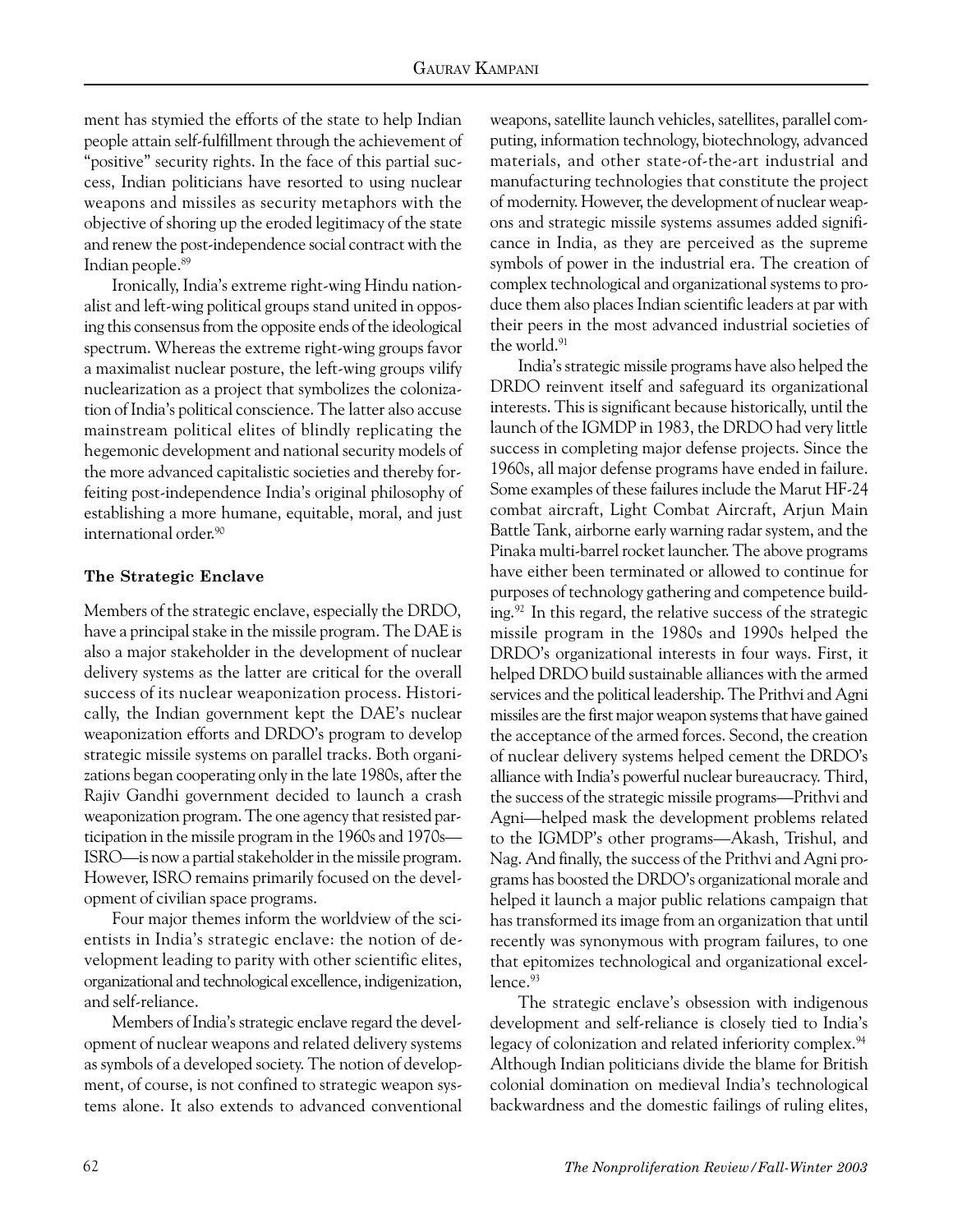ment has stymied the efforts of the state to help Indian people attain self-fulfillment through the achievement of "positive" security rights. In the face of this partial success, Indian politicians have resorted to using nuclear weapons and missiles as security metaphors with the objective of shoring up the eroded legitimacy of the state and renew the post-independence social contract with the Indian people.<sup>89</sup>

Ironically, India's extreme right-wing Hindu nationalist and left-wing political groups stand united in opposing this consensus from the opposite ends of the ideological spectrum. Whereas the extreme right-wing groups favor a maximalist nuclear posture, the left-wing groups vilify nuclearization as a project that symbolizes the colonization of India's political conscience. The latter also accuse mainstream political elites of blindly replicating the hegemonic development and national security models of the more advanced capitalistic societies and thereby forfeiting post-independence India's original philosophy of establishing a more humane, equitable, moral, and just international order.<sup>90</sup>

#### **The Strategic Enclave**

Members of the strategic enclave, especially the DRDO, have a principal stake in the missile program. The DAE is also a major stakeholder in the development of nuclear delivery systems as the latter are critical for the overall success of its nuclear weaponization process. Historically, the Indian government kept the DAE's nuclear weaponization efforts and DRDO's program to develop strategic missile systems on parallel tracks. Both organizations began cooperating only in the late 1980s, after the Rajiv Gandhi government decided to launch a crash weaponization program. The one agency that resisted participation in the missile program in the 1960s and 1970s— ISRO—is now a partial stakeholder in the missile program. However, ISRO remains primarily focused on the development of civilian space programs.

Four major themes inform the worldview of the scientists in India's strategic enclave: the notion of development leading to parity with other scientific elites, organizational and technological excellence, indigenization, and self-reliance.

Members of India's strategic enclave regard the development of nuclear weapons and related delivery systems as symbols of a developed society. The notion of development, of course, is not confined to strategic weapon systems alone. It also extends to advanced conventional weapons, satellite launch vehicles, satellites, parallel computing, information technology, biotechnology, advanced materials, and other state-of-the-art industrial and manufacturing technologies that constitute the project of modernity. However, the development of nuclear weapons and strategic missile systems assumes added significance in India, as they are perceived as the supreme symbols of power in the industrial era. The creation of complex technological and organizational systems to produce them also places Indian scientific leaders at par with their peers in the most advanced industrial societies of the world.<sup>91</sup>

India's strategic missile programs have also helped the DRDO reinvent itself and safeguard its organizational interests. This is significant because historically, until the launch of the IGMDP in 1983, the DRDO had very little success in completing major defense projects. Since the 1960s, all major defense programs have ended in failure. Some examples of these failures include the Marut HF-24 combat aircraft, Light Combat Aircraft, Arjun Main Battle Tank, airborne early warning radar system, and the Pinaka multi-barrel rocket launcher. The above programs have either been terminated or allowed to continue for purposes of technology gathering and competence building.92 In this regard, the relative success of the strategic missile program in the 1980s and 1990s helped the DRDO's organizational interests in four ways. First, it helped DRDO build sustainable alliances with the armed services and the political leadership. The Prithvi and Agni missiles are the first major weapon systems that have gained the acceptance of the armed forces. Second, the creation of nuclear delivery systems helped cement the DRDO's alliance with India's powerful nuclear bureaucracy. Third, the success of the strategic missile programs—Prithvi and Agni—helped mask the development problems related to the IGMDP's other programs—Akash, Trishul, and Nag. And finally, the success of the Prithvi and Agni programs has boosted the DRDO's organizational morale and helped it launch a major public relations campaign that has transformed its image from an organization that until recently was synonymous with program failures, to one that epitomizes technological and organizational excellence.<sup>93</sup>

The strategic enclave's obsession with indigenous development and self-reliance is closely tied to India's legacy of colonization and related inferiority complex.<sup>94</sup> Although Indian politicians divide the blame for British colonial domination on medieval India's technological backwardness and the domestic failings of ruling elites,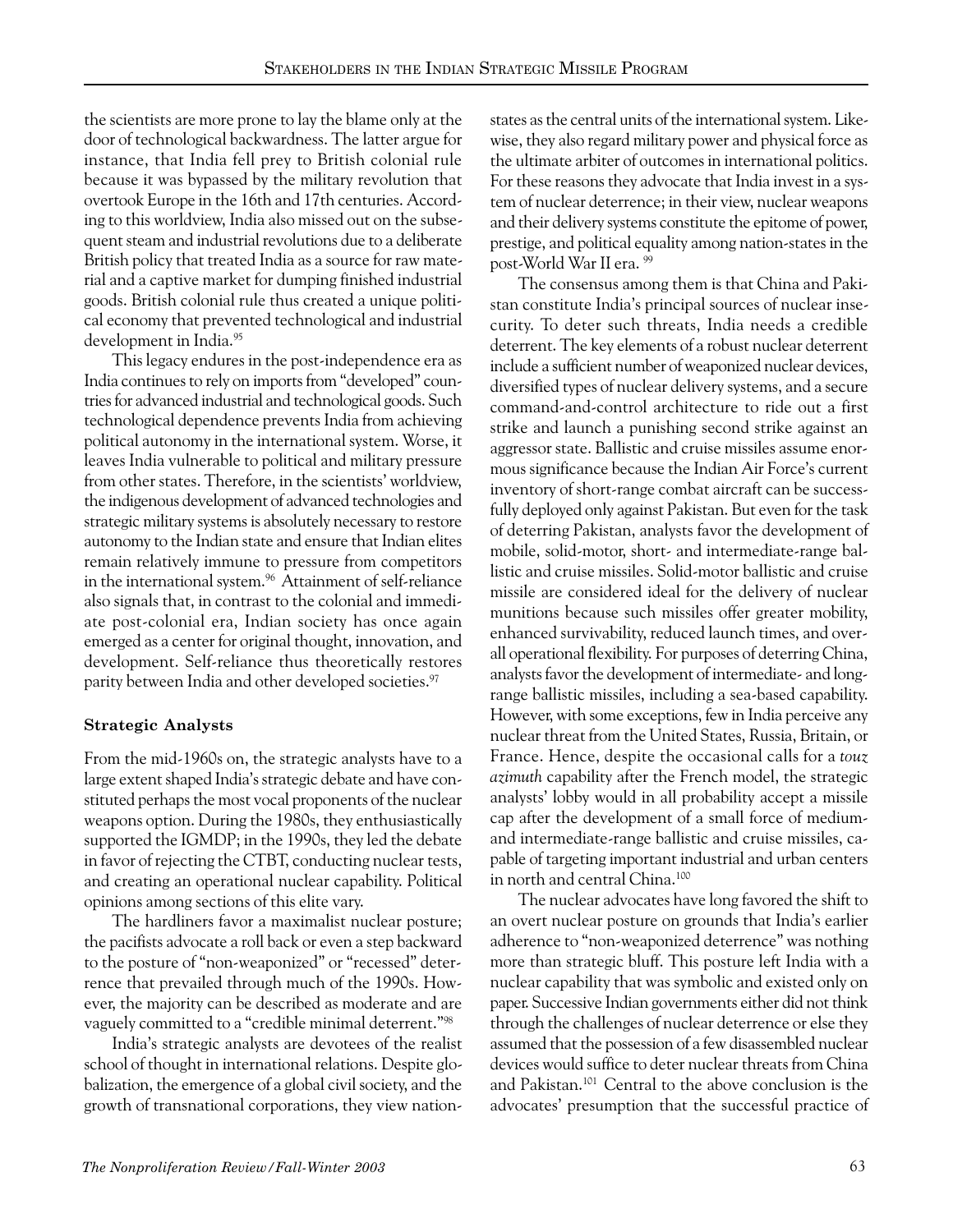the scientists are more prone to lay the blame only at the door of technological backwardness. The latter argue for instance, that India fell prey to British colonial rule because it was bypassed by the military revolution that overtook Europe in the 16th and 17th centuries. According to this worldview, India also missed out on the subsequent steam and industrial revolutions due to a deliberate British policy that treated India as a source for raw material and a captive market for dumping finished industrial goods. British colonial rule thus created a unique political economy that prevented technological and industrial development in India.<sup>95</sup>

This legacy endures in the post-independence era as India continues to rely on imports from "developed" countries for advanced industrial and technological goods. Such technological dependence prevents India from achieving political autonomy in the international system. Worse, it leaves India vulnerable to political and military pressure from other states. Therefore, in the scientists' worldview, the indigenous development of advanced technologies and strategic military systems is absolutely necessary to restore autonomy to the Indian state and ensure that Indian elites remain relatively immune to pressure from competitors in the international system.<sup>96</sup> Attainment of self-reliance also signals that, in contrast to the colonial and immediate post-colonial era, Indian society has once again emerged as a center for original thought, innovation, and development. Self-reliance thus theoretically restores parity between India and other developed societies.<sup>97</sup>

#### **Strategic Analysts**

From the mid-1960s on, the strategic analysts have to a large extent shaped India's strategic debate and have constituted perhaps the most vocal proponents of the nuclear weapons option. During the 1980s, they enthusiastically supported the IGMDP; in the 1990s, they led the debate in favor of rejecting the CTBT, conducting nuclear tests, and creating an operational nuclear capability. Political opinions among sections of this elite vary.

The hardliners favor a maximalist nuclear posture; the pacifists advocate a roll back or even a step backward to the posture of "non-weaponized" or "recessed" deterrence that prevailed through much of the 1990s. However, the majority can be described as moderate and are vaguely committed to a "credible minimal deterrent."<sup>98</sup>

India's strategic analysts are devotees of the realist school of thought in international relations. Despite globalization, the emergence of a global civil society, and the growth of transnational corporations, they view nationstates as the central units of the international system. Likewise, they also regard military power and physical force as the ultimate arbiter of outcomes in international politics. For these reasons they advocate that India invest in a system of nuclear deterrence; in their view, nuclear weapons and their delivery systems constitute the epitome of power, prestige, and political equality among nation-states in the post-World War II era. <sup>99</sup>

The consensus among them is that China and Pakistan constitute India's principal sources of nuclear insecurity. To deter such threats, India needs a credible deterrent. The key elements of a robust nuclear deterrent include a sufficient number of weaponized nuclear devices, diversified types of nuclear delivery systems, and a secure command-and-control architecture to ride out a first strike and launch a punishing second strike against an aggressor state. Ballistic and cruise missiles assume enormous significance because the Indian Air Force's current inventory of short-range combat aircraft can be successfully deployed only against Pakistan. But even for the task of deterring Pakistan, analysts favor the development of mobile, solid-motor, short- and intermediate-range ballistic and cruise missiles. Solid-motor ballistic and cruise missile are considered ideal for the delivery of nuclear munitions because such missiles offer greater mobility, enhanced survivability, reduced launch times, and overall operational flexibility. For purposes of deterring China, analysts favor the development of intermediate- and longrange ballistic missiles, including a sea-based capability. However, with some exceptions, few in India perceive any nuclear threat from the United States, Russia, Britain, or France. Hence, despite the occasional calls for a *touz azimuth* capability after the French model, the strategic analysts' lobby would in all probability accept a missile cap after the development of a small force of mediumand intermediate-range ballistic and cruise missiles, capable of targeting important industrial and urban centers in north and central China.<sup>100</sup>

The nuclear advocates have long favored the shift to an overt nuclear posture on grounds that India's earlier adherence to "non-weaponized deterrence" was nothing more than strategic bluff. This posture left India with a nuclear capability that was symbolic and existed only on paper. Successive Indian governments either did not think through the challenges of nuclear deterrence or else they assumed that the possession of a few disassembled nuclear devices would suffice to deter nuclear threats from China and Pakistan.101 Central to the above conclusion is the advocates' presumption that the successful practice of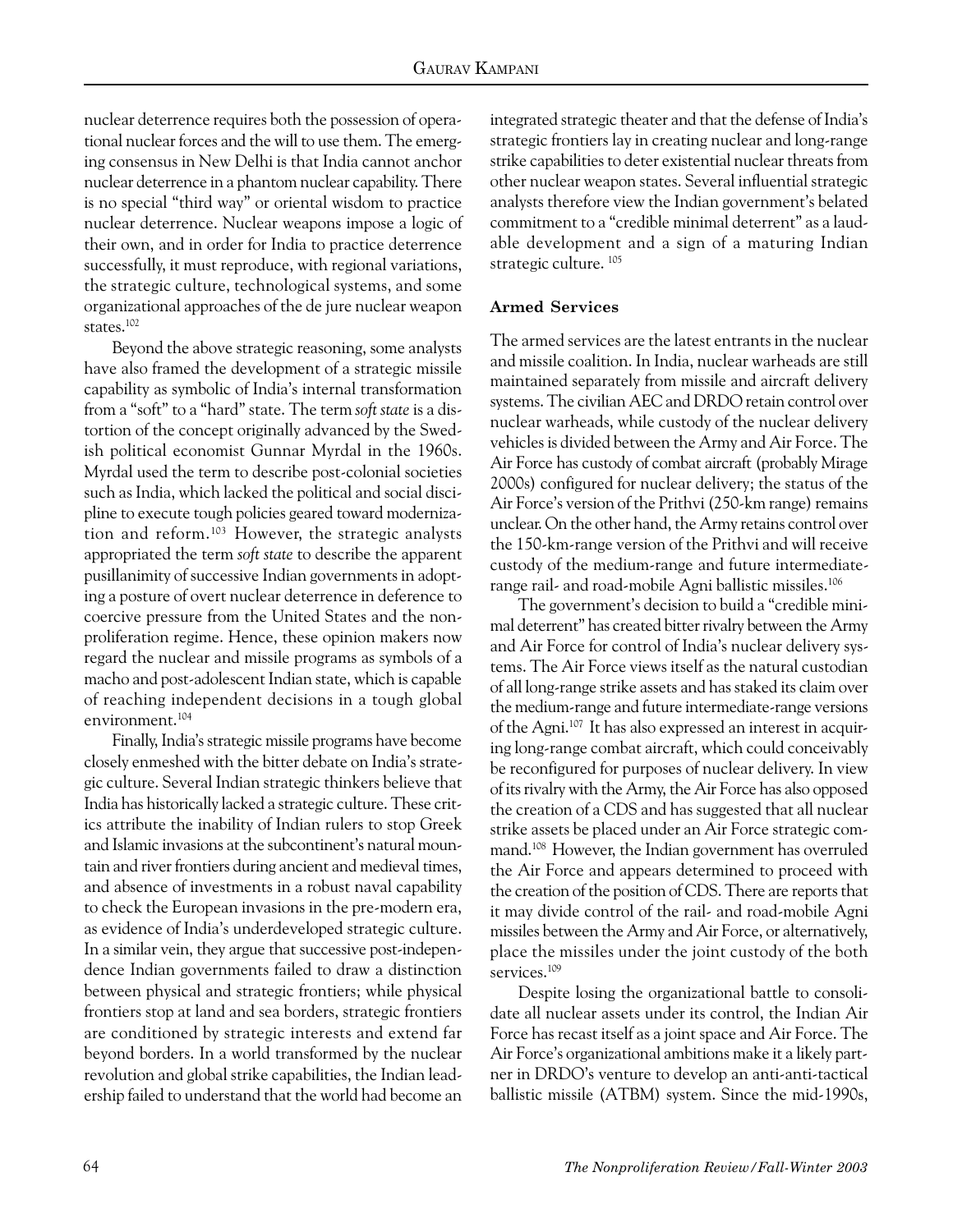nuclear deterrence requires both the possession of operational nuclear forces and the will to use them. The emerging consensus in New Delhi is that India cannot anchor nuclear deterrence in a phantom nuclear capability. There is no special "third way" or oriental wisdom to practice nuclear deterrence. Nuclear weapons impose a logic of their own, and in order for India to practice deterrence successfully, it must reproduce, with regional variations, the strategic culture, technological systems, and some organizational approaches of the de jure nuclear weapon states.<sup>102</sup>

Beyond the above strategic reasoning, some analysts have also framed the development of a strategic missile capability as symbolic of India's internal transformation from a "soft" to a "hard" state. The term *soft state* is a distortion of the concept originally advanced by the Swedish political economist Gunnar Myrdal in the 1960s. Myrdal used the term to describe post-colonial societies such as India, which lacked the political and social discipline to execute tough policies geared toward modernization and reform.103 However, the strategic analysts appropriated the term *soft state* to describe the apparent pusillanimity of successive Indian governments in adopting a posture of overt nuclear deterrence in deference to coercive pressure from the United States and the nonproliferation regime. Hence, these opinion makers now regard the nuclear and missile programs as symbols of a macho and post-adolescent Indian state, which is capable of reaching independent decisions in a tough global environment.<sup>104</sup>

Finally, India's strategic missile programs have become closely enmeshed with the bitter debate on India's strategic culture. Several Indian strategic thinkers believe that India has historically lacked a strategic culture. These critics attribute the inability of Indian rulers to stop Greek and Islamic invasions at the subcontinent's natural mountain and river frontiers during ancient and medieval times, and absence of investments in a robust naval capability to check the European invasions in the pre-modern era, as evidence of India's underdeveloped strategic culture. In a similar vein, they argue that successive post-independence Indian governments failed to draw a distinction between physical and strategic frontiers; while physical frontiers stop at land and sea borders, strategic frontiers are conditioned by strategic interests and extend far beyond borders. In a world transformed by the nuclear revolution and global strike capabilities, the Indian leadership failed to understand that the world had become an integrated strategic theater and that the defense of India's strategic frontiers lay in creating nuclear and long-range strike capabilities to deter existential nuclear threats from other nuclear weapon states. Several influential strategic analysts therefore view the Indian government's belated commitment to a "credible minimal deterrent" as a laudable development and a sign of a maturing Indian strategic culture. <sup>105</sup>

#### **Armed Services**

The armed services are the latest entrants in the nuclear and missile coalition. In India, nuclear warheads are still maintained separately from missile and aircraft delivery systems. The civilian AEC and DRDO retain control over nuclear warheads, while custody of the nuclear delivery vehicles is divided between the Army and Air Force. The Air Force has custody of combat aircraft (probably Mirage 2000s) configured for nuclear delivery; the status of the Air Force's version of the Prithvi (250-km range) remains unclear. On the other hand, the Army retains control over the 150-km-range version of the Prithvi and will receive custody of the medium-range and future intermediaterange rail- and road-mobile Agni ballistic missiles.<sup>106</sup>

The government's decision to build a "credible minimal deterrent" has created bitter rivalry between the Army and Air Force for control of India's nuclear delivery systems. The Air Force views itself as the natural custodian of all long-range strike assets and has staked its claim over the medium-range and future intermediate-range versions of the Agni.107 It has also expressed an interest in acquiring long-range combat aircraft, which could conceivably be reconfigured for purposes of nuclear delivery. In view of its rivalry with the Army, the Air Force has also opposed the creation of a CDS and has suggested that all nuclear strike assets be placed under an Air Force strategic command.108 However, the Indian government has overruled the Air Force and appears determined to proceed with the creation of the position of CDS. There are reports that it may divide control of the rail- and road-mobile Agni missiles between the Army and Air Force, or alternatively, place the missiles under the joint custody of the both services.<sup>109</sup>

Despite losing the organizational battle to consolidate all nuclear assets under its control, the Indian Air Force has recast itself as a joint space and Air Force. The Air Force's organizational ambitions make it a likely partner in DRDO's venture to develop an anti-anti-tactical ballistic missile (ATBM) system. Since the mid-1990s,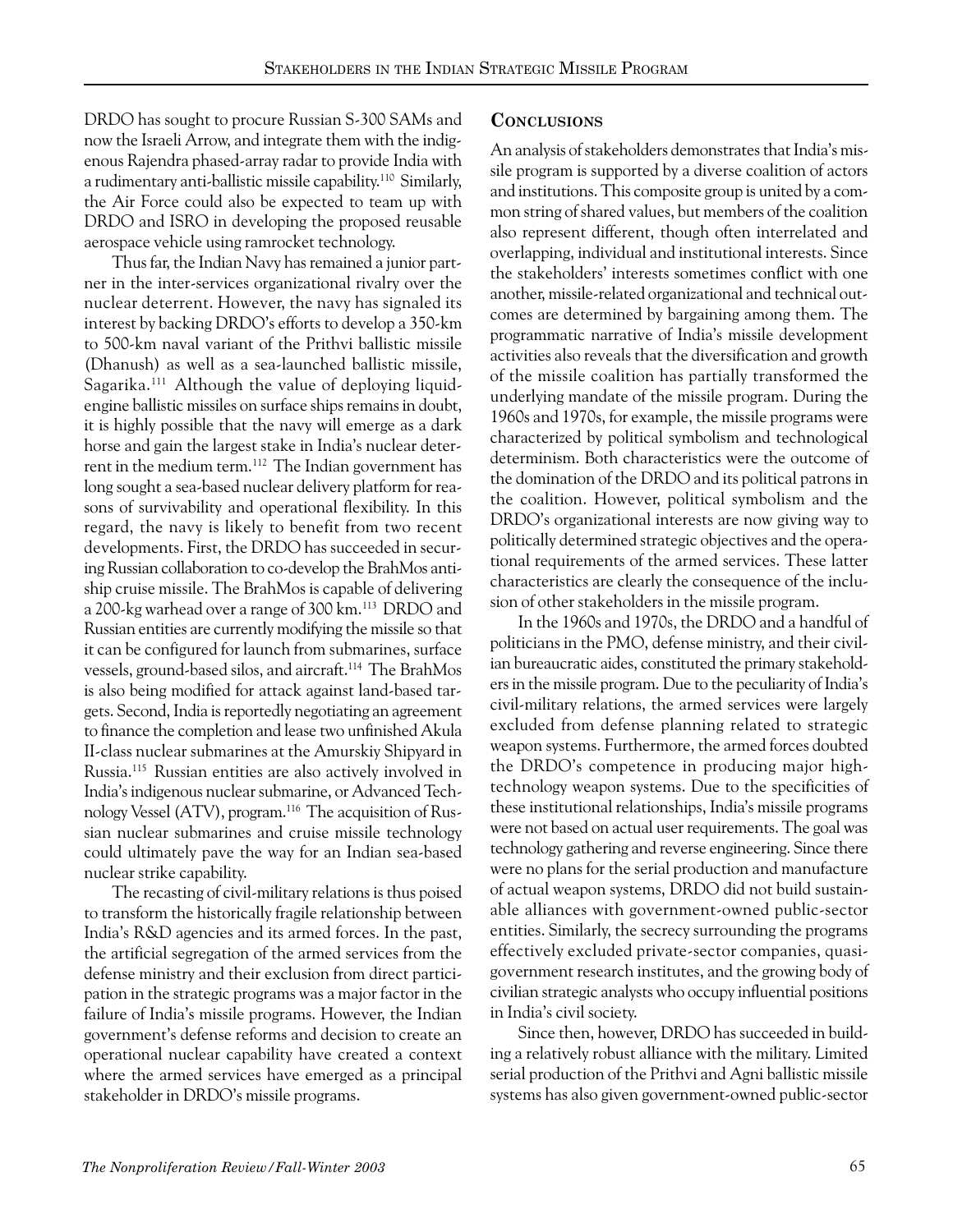DRDO has sought to procure Russian S-300 SAMs and now the Israeli Arrow, and integrate them with the indigenous Rajendra phased-array radar to provide India with a rudimentary anti-ballistic missile capability.110 Similarly, the Air Force could also be expected to team up with DRDO and ISRO in developing the proposed reusable aerospace vehicle using ramrocket technology.

Thus far, the Indian Navy has remained a junior partner in the inter-services organizational rivalry over the nuclear deterrent. However, the navy has signaled its interest by backing DRDO's efforts to develop a 350-km to 500-km naval variant of the Prithvi ballistic missile (Dhanush) as well as a sea-launched ballistic missile, Sagarika.<sup>111</sup> Although the value of deploying liquidengine ballistic missiles on surface ships remains in doubt, it is highly possible that the navy will emerge as a dark horse and gain the largest stake in India's nuclear deterrent in the medium term.<sup>112</sup> The Indian government has long sought a sea-based nuclear delivery platform for reasons of survivability and operational flexibility. In this regard, the navy is likely to benefit from two recent developments. First, the DRDO has succeeded in securing Russian collaboration to co-develop the BrahMos antiship cruise missile. The BrahMos is capable of delivering a 200-kg warhead over a range of 300 km.113 DRDO and Russian entities are currently modifying the missile so that it can be configured for launch from submarines, surface vessels, ground-based silos, and aircraft.114 The BrahMos is also being modified for attack against land-based targets. Second, India is reportedly negotiating an agreement to finance the completion and lease two unfinished Akula II-class nuclear submarines at the Amurskiy Shipyard in Russia.115 Russian entities are also actively involved in India's indigenous nuclear submarine, or Advanced Technology Vessel (ATV), program.<sup>116</sup> The acquisition of Russian nuclear submarines and cruise missile technology could ultimately pave the way for an Indian sea-based nuclear strike capability.

The recasting of civil-military relations is thus poised to transform the historically fragile relationship between India's R&D agencies and its armed forces. In the past, the artificial segregation of the armed services from the defense ministry and their exclusion from direct participation in the strategic programs was a major factor in the failure of India's missile programs. However, the Indian government's defense reforms and decision to create an operational nuclear capability have created a context where the armed services have emerged as a principal stakeholder in DRDO's missile programs.

#### **CONCLUSIONS**

An analysis of stakeholders demonstrates that India's missile program is supported by a diverse coalition of actors and institutions. This composite group is united by a common string of shared values, but members of the coalition also represent different, though often interrelated and overlapping, individual and institutional interests. Since the stakeholders' interests sometimes conflict with one another, missile-related organizational and technical outcomes are determined by bargaining among them. The programmatic narrative of India's missile development activities also reveals that the diversification and growth of the missile coalition has partially transformed the underlying mandate of the missile program. During the 1960s and 1970s, for example, the missile programs were characterized by political symbolism and technological determinism. Both characteristics were the outcome of the domination of the DRDO and its political patrons in the coalition. However, political symbolism and the DRDO's organizational interests are now giving way to politically determined strategic objectives and the operational requirements of the armed services. These latter characteristics are clearly the consequence of the inclusion of other stakeholders in the missile program.

In the 1960s and 1970s, the DRDO and a handful of politicians in the PMO, defense ministry, and their civilian bureaucratic aides, constituted the primary stakeholders in the missile program. Due to the peculiarity of India's civil-military relations, the armed services were largely excluded from defense planning related to strategic weapon systems. Furthermore, the armed forces doubted the DRDO's competence in producing major hightechnology weapon systems. Due to the specificities of these institutional relationships, India's missile programs were not based on actual user requirements. The goal was technology gathering and reverse engineering. Since there were no plans for the serial production and manufacture of actual weapon systems, DRDO did not build sustainable alliances with government-owned public-sector entities. Similarly, the secrecy surrounding the programs effectively excluded private-sector companies, quasigovernment research institutes, and the growing body of civilian strategic analysts who occupy influential positions in India's civil society.

Since then, however, DRDO has succeeded in building a relatively robust alliance with the military. Limited serial production of the Prithvi and Agni ballistic missile systems has also given government-owned public-sector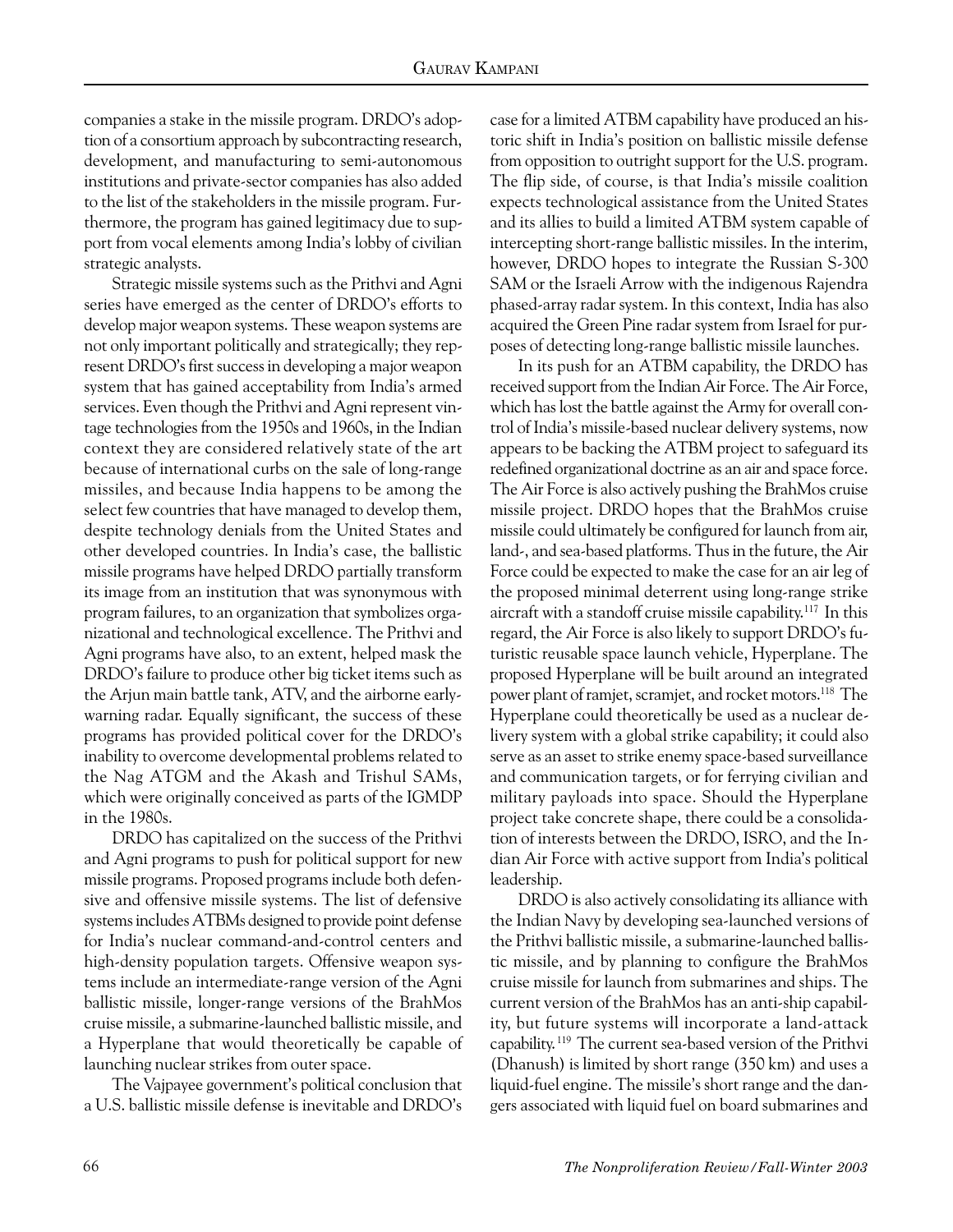companies a stake in the missile program. DRDO's adoption of a consortium approach by subcontracting research, development, and manufacturing to semi-autonomous institutions and private-sector companies has also added to the list of the stakeholders in the missile program. Furthermore, the program has gained legitimacy due to support from vocal elements among India's lobby of civilian strategic analysts.

Strategic missile systems such as the Prithvi and Agni series have emerged as the center of DRDO's efforts to develop major weapon systems. These weapon systems are not only important politically and strategically; they represent DRDO's first success in developing a major weapon system that has gained acceptability from India's armed services. Even though the Prithvi and Agni represent vintage technologies from the 1950s and 1960s, in the Indian context they are considered relatively state of the art because of international curbs on the sale of long-range missiles, and because India happens to be among the select few countries that have managed to develop them, despite technology denials from the United States and other developed countries. In India's case, the ballistic missile programs have helped DRDO partially transform its image from an institution that was synonymous with program failures, to an organization that symbolizes organizational and technological excellence. The Prithvi and Agni programs have also, to an extent, helped mask the DRDO's failure to produce other big ticket items such as the Arjun main battle tank, ATV, and the airborne earlywarning radar. Equally significant, the success of these programs has provided political cover for the DRDO's inability to overcome developmental problems related to the Nag ATGM and the Akash and Trishul SAMs, which were originally conceived as parts of the IGMDP in the 1980s.

DRDO has capitalized on the success of the Prithvi and Agni programs to push for political support for new missile programs. Proposed programs include both defensive and offensive missile systems. The list of defensive systems includes ATBMs designed to provide point defense for India's nuclear command-and-control centers and high-density population targets. Offensive weapon systems include an intermediate-range version of the Agni ballistic missile, longer-range versions of the BrahMos cruise missile, a submarine-launched ballistic missile, and a Hyperplane that would theoretically be capable of launching nuclear strikes from outer space.

The Vajpayee government's political conclusion that a U.S. ballistic missile defense is inevitable and DRDO's case for a limited ATBM capability have produced an historic shift in India's position on ballistic missile defense from opposition to outright support for the U.S. program. The flip side, of course, is that India's missile coalition expects technological assistance from the United States and its allies to build a limited ATBM system capable of intercepting short-range ballistic missiles. In the interim, however, DRDO hopes to integrate the Russian S-300 SAM or the Israeli Arrow with the indigenous Rajendra phased-array radar system. In this context, India has also acquired the Green Pine radar system from Israel for purposes of detecting long-range ballistic missile launches.

In its push for an ATBM capability, the DRDO has received support from the Indian Air Force. The Air Force, which has lost the battle against the Army for overall control of India's missile-based nuclear delivery systems, now appears to be backing the ATBM project to safeguard its redefined organizational doctrine as an air and space force. The Air Force is also actively pushing the BrahMos cruise missile project. DRDO hopes that the BrahMos cruise missile could ultimately be configured for launch from air, land-, and sea-based platforms. Thus in the future, the Air Force could be expected to make the case for an air leg of the proposed minimal deterrent using long-range strike aircraft with a standoff cruise missile capability.117 In this regard, the Air Force is also likely to support DRDO's futuristic reusable space launch vehicle, Hyperplane. The proposed Hyperplane will be built around an integrated power plant of ramjet, scramjet, and rocket motors.<sup>118</sup> The Hyperplane could theoretically be used as a nuclear delivery system with a global strike capability; it could also serve as an asset to strike enemy space-based surveillance and communication targets, or for ferrying civilian and military payloads into space. Should the Hyperplane project take concrete shape, there could be a consolidation of interests between the DRDO, ISRO, and the Indian Air Force with active support from India's political leadership.

DRDO is also actively consolidating its alliance with the Indian Navy by developing sea-launched versions of the Prithvi ballistic missile, a submarine-launched ballistic missile, and by planning to configure the BrahMos cruise missile for launch from submarines and ships. The current version of the BrahMos has an anti-ship capability, but future systems will incorporate a land-attack capability. 119 The current sea-based version of the Prithvi (Dhanush) is limited by short range (350 km) and uses a liquid-fuel engine. The missile's short range and the dangers associated with liquid fuel on board submarines and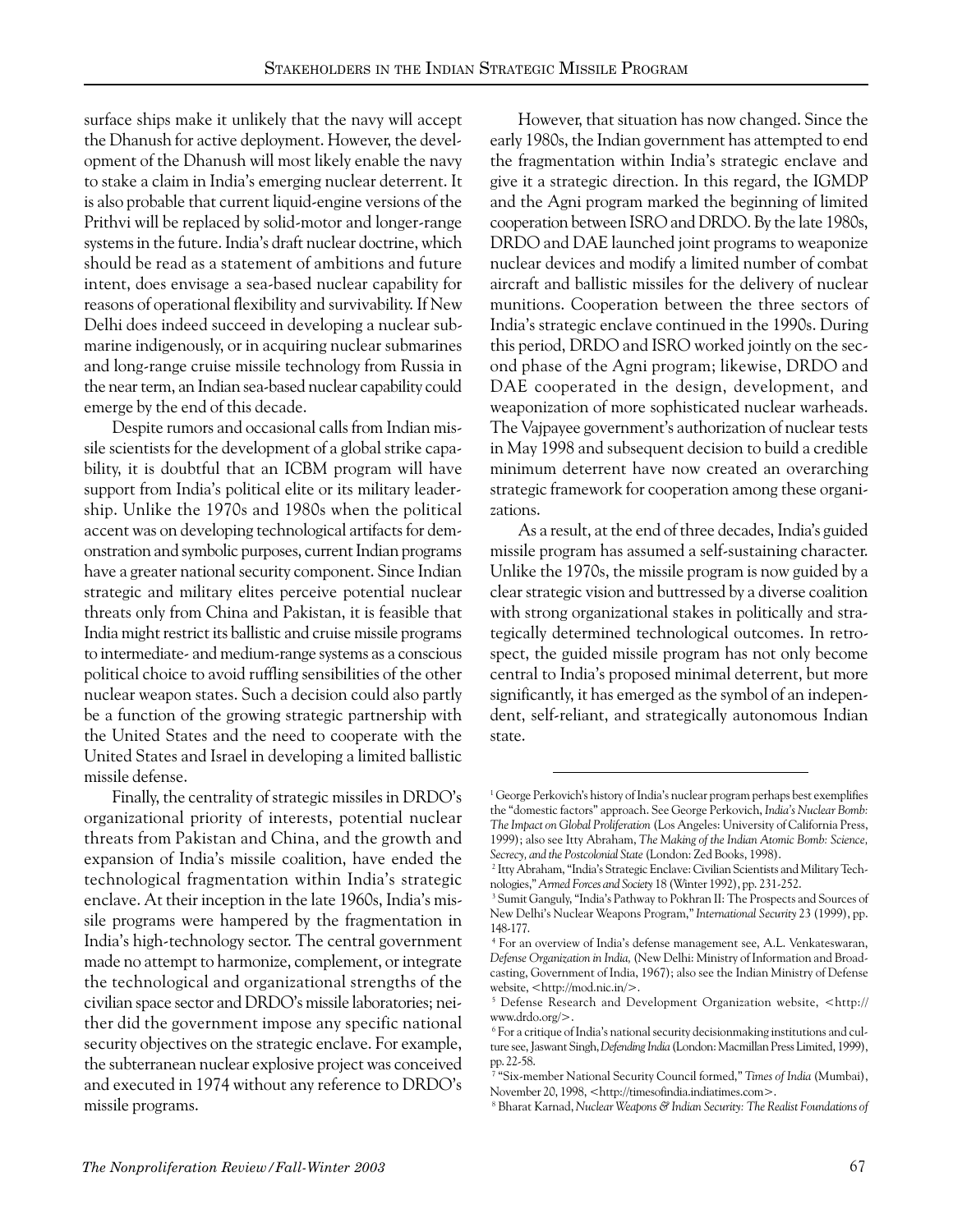surface ships make it unlikely that the navy will accept the Dhanush for active deployment. However, the development of the Dhanush will most likely enable the navy to stake a claim in India's emerging nuclear deterrent. It is also probable that current liquid-engine versions of the Prithvi will be replaced by solid-motor and longer-range systems in the future. India's draft nuclear doctrine, which should be read as a statement of ambitions and future intent, does envisage a sea-based nuclear capability for reasons of operational flexibility and survivability. If New Delhi does indeed succeed in developing a nuclear submarine indigenously, or in acquiring nuclear submarines and long-range cruise missile technology from Russia in the near term, an Indian sea-based nuclear capability could emerge by the end of this decade.

Despite rumors and occasional calls from Indian missile scientists for the development of a global strike capability, it is doubtful that an ICBM program will have support from India's political elite or its military leadership. Unlike the 1970s and 1980s when the political accent was on developing technological artifacts for demonstration and symbolic purposes, current Indian programs have a greater national security component. Since Indian strategic and military elites perceive potential nuclear threats only from China and Pakistan, it is feasible that India might restrict its ballistic and cruise missile programs to intermediate- and medium-range systems as a conscious political choice to avoid ruffling sensibilities of the other nuclear weapon states. Such a decision could also partly be a function of the growing strategic partnership with the United States and the need to cooperate with the United States and Israel in developing a limited ballistic missile defense.

Finally, the centrality of strategic missiles in DRDO's organizational priority of interests, potential nuclear threats from Pakistan and China, and the growth and expansion of India's missile coalition, have ended the technological fragmentation within India's strategic enclave. At their inception in the late 1960s, India's missile programs were hampered by the fragmentation in India's high-technology sector. The central government made no attempt to harmonize, complement, or integrate the technological and organizational strengths of the civilian space sector and DRDO's missile laboratories; neither did the government impose any specific national security objectives on the strategic enclave. For example, the subterranean nuclear explosive project was conceived and executed in 1974 without any reference to DRDO's missile programs.

However, that situation has now changed. Since the early 1980s, the Indian government has attempted to end the fragmentation within India's strategic enclave and give it a strategic direction. In this regard, the IGMDP and the Agni program marked the beginning of limited cooperation between ISRO and DRDO. By the late 1980s, DRDO and DAE launched joint programs to weaponize nuclear devices and modify a limited number of combat aircraft and ballistic missiles for the delivery of nuclear munitions. Cooperation between the three sectors of India's strategic enclave continued in the 1990s. During this period, DRDO and ISRO worked jointly on the second phase of the Agni program; likewise, DRDO and DAE cooperated in the design, development, and weaponization of more sophisticated nuclear warheads. The Vajpayee government's authorization of nuclear tests in May 1998 and subsequent decision to build a credible minimum deterrent have now created an overarching strategic framework for cooperation among these organizations.

As a result, at the end of three decades, India's guided missile program has assumed a self-sustaining character. Unlike the 1970s, the missile program is now guided by a clear strategic vision and buttressed by a diverse coalition with strong organizational stakes in politically and strategically determined technological outcomes. In retrospect, the guided missile program has not only become central to India's proposed minimal deterrent, but more significantly, it has emerged as the symbol of an independent, self-reliant, and strategically autonomous Indian state.

<sup>1</sup> George Perkovich's history of India's nuclear program perhaps best exemplifies the "domestic factors" approach. See George Perkovich, *India's Nuclear Bomb: The Impact on Global Proliferation* (Los Angeles: University of California Press, 1999); also see Itty Abraham, *The Making of the Indian Atomic Bomb: Science, Secrecy, and the Postcolonial State*(London: Zed Books, 1998).

<sup>2</sup> Itty Abraham, "India's Strategic Enclave: Civilian Scientists and Military Technologies," *Armed Forces and Society* 18 (Winter 1992), pp. 231-252.

<sup>&</sup>lt;sup>3</sup> Sumit Ganguly, "India's Pathway to Pokhran II: The Prospects and Sources of New Delhi's Nuclear Weapons Program," *International Security* 23 (1999), pp. 148-177.

<sup>4</sup> For an overview of India's defense management see, A.L. Venkateswaran, *Defense Organization in India,* (New Delhi: Ministry of Information and Broadcasting, Government of India, 1967); also see the Indian Ministry of Defense website, <http://mod.nic.in/>.

<sup>&</sup>lt;sup>5</sup> Defense Research and Development Organization website, <http:// www.drdo.org/>.

<sup>6</sup> For a critique of India's national security decisionmaking institutions and culture see, Jaswant Singh, *Defending India* (London: Macmillan Press Limited, 1999), pp. 22-58.

<sup>7</sup> "Six-member National Security Council formed," *Times of India* (Mumbai), November 20, 1998, <http://timesofindia.indiatimes.com>.

<sup>8</sup> Bharat Karnad, *Nuclear Weapons & Indian Security: The Realist Foundations of*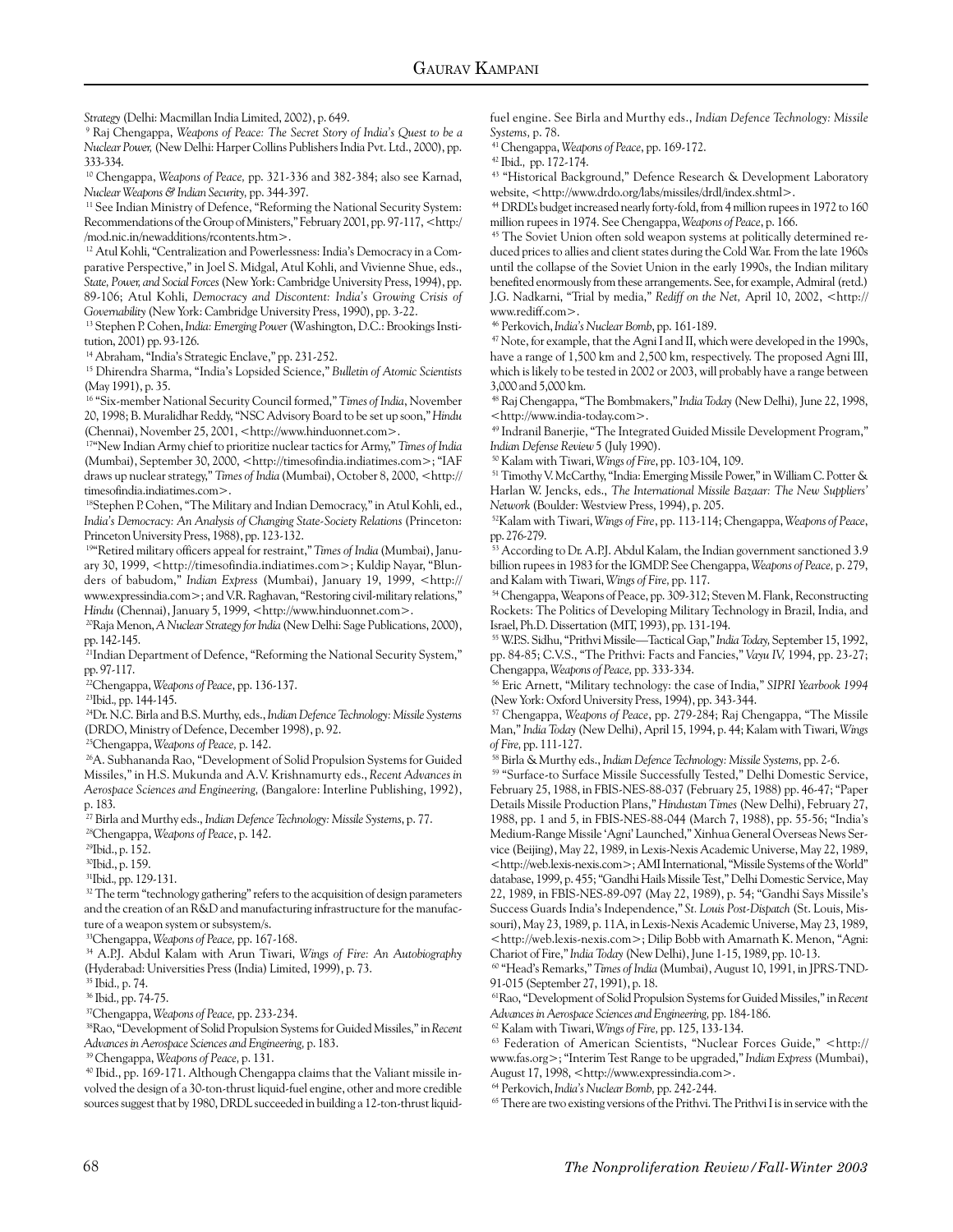*Strategy* (Delhi: Macmillan India Limited, 2002), p. 649.

9 Raj Chengappa, *Weapons of Peace: The Secret Story of India's Quest to be a Nuclear Power,* (New Delhi: Harper Collins Publishers India Pvt. Ltd., 2000), pp. 333-334.

<sup>10</sup> Chengappa, *Weapons of Peace,* pp. 321-336 and 382-384; also see Karnad, *Nuclear Weapons & Indian Security,* pp. 344-397.

<sup>11</sup> See Indian Ministry of Defence, "Reforming the National Security System: Recommendations of the Group of Ministers,"February 2001, pp. 97-117, <http:/ /mod.nic.in/newadditions/rcontents.htm>.

12 Atul Kohli, "Centralization and Powerlessness: India's Democracy in a Comparative Perspective," in Joel S. Midgal, Atul Kohli, and Vivienne Shue, eds., *State, Power, and Social Forces* (New York: Cambridge University Press, 1994), pp. 89-106; Atul Kohli, *Democracy and Discontent: India's Growing Crisis of Governability* (New York: Cambridge University Press, 1990), pp. 3-22.

13 Stephen P. Cohen, *India: Emerging Power* (Washington, D.C.: Brookings Institution, 2001) pp. 93-126.

<sup>14</sup> Abraham, "India's Strategic Enclave," pp. 231-252.

<sup>15</sup> Dhirendra Sharma, "India's Lopsided Science," *Bulletin of Atomic Scientists* (May 1991), p. 35.

<sup>16</sup> "Six-member National Security Council formed," *Times of India*, November 20, 1998; B. Muralidhar Reddy, "NSC Advisory Board to be set up soon," *Hindu* (Chennai), November 25, 2001, <http://www.hinduonnet.com>.

<sup>17</sup>"New Indian Army chief to prioritize nuclear tactics for Army," *Times of India* (Mumbai), September 30, 2000, <http://timesofindia.indiatimes.com>; "IAF draws up nuclear strategy," *Times of India* (Mumbai), October 8, 2000, <http:// timesofindia.indiatimes.com>.

<sup>18</sup>Stephen P. Cohen, "The Military and Indian Democracy," in Atul Kohli, ed., *India's Democracy: An Analysis of Changing State-Society Relations* (Princeton: Princeton University Press, 1988), pp. 123-132.

19"Retired military officers appeal for restraint," *Times of India* (Mumbai), January 30, 1999, <http://timesofindia.indiatimes.com>; Kuldip Nayar, "Blunders of babudom," *Indian Express* (Mumbai), January 19, 1999, <http:// www.expressindia.com>; and V.R. Raghavan, "Restoring civil-military relations," *Hindu* (Chennai), January 5, 1999, <http://www.hinduonnet.com>.

<sup>20</sup>Raja Menon, *A Nuclear Strategy for India* (New Delhi: Sage Publications, 2000), pp. 142-145.

<sup>21</sup>Indian Department of Defence, "Reforming the National Security System," pp. 97-117.

<sup>22</sup>Chengappa, *Weapons of Peace*, pp. 136-137.

<sup>23</sup>Ibid.*,* pp. 144-145.

<sup>24</sup>Dr. N.C. Birla and B.S. Murthy, eds., *Indian Defence Technology: Missile Systems* (DRDO, Ministry of Defence, December 1998), p. 92.

<sup>25</sup>Chengappa, *Weapons of Peace,* p. 142.

<sup>26</sup>A. Subhananda Rao, "Development of Solid Propulsion Systems for Guided Missiles," in H.S. Mukunda and A.V. Krishnamurty eds., *Recent Advances in Aerospace Sciences and Engineering,* (Bangalore: Interline Publishing, 1992), p. 183.

<sup>27</sup> Birla and Murthy eds., *Indian Defence Technology: Missile Systems*, p. 77.

<sup>28</sup>Chengappa, *Weapons of Peace*, p. 142.

<sup>29</sup>Ibid., p. 152.

<sup>30</sup>Ibid., p. 159.

<sup>31</sup>Ibid.*,* pp. 129-131.

<sup>32</sup> The term "technology gathering" refers to the acquisition of design parameters and the creation of an R&D and manufacturing infrastructure for the manufacture of a weapon system or subsystem/s.

<sup>33</sup>Chengappa, *Weapons of Peace,* pp. 167-168.

<sup>34</sup> A.P.J. Abdul Kalam with Arun Tiwari, *Wings of Fire: An Autobiography* (Hyderabad: Universities Press (India) Limited, 1999), p. 73.

<sup>35</sup> Ibid.*,* p. 74.

<sup>36</sup> Ibid.*,* pp. 74-75.

<sup>37</sup>Chengappa, *Weapons of Peace,* pp. 233-234.

<sup>38</sup>Rao, "Development of Solid Propulsion Systems for Guided Missiles," in *Recent Advances in Aerospace Sciences and Engineering,* p. 183.

<sup>39</sup> Chengappa, *Weapons of Peace,* p. 131.

<sup>40</sup> Ibid., pp. 169-171. Although Chengappa claims that the Valiant missile involved the design of a 30-ton-thrust liquid-fuel engine, other and more credible sources suggest that by 1980, DRDL succeeded in building a 12-ton-thrust liquidfuel engine. See Birla and Murthy eds., *Indian Defence Technology: Missile Systems,* p. 78.

<sup>41</sup> Chengappa, *Weapons of Peace*, pp. 169-172.

<sup>42</sup> Ibid.*,* pp. 172-174.

<sup>43</sup> "Historical Background," Defence Research & Development Laboratory website, <http://www.drdo.org/labs/missiles/drdl/index.shtml>.

<sup>44</sup> DRDL's budget increased nearly forty-fold, from 4 million rupees in 1972 to 160 million rupees in 1974. See Chengappa, *Weapons of Peace*, p. 166.

<sup>45</sup> The Soviet Union often sold weapon systems at politically determined reduced prices to allies and client states during the Cold War. From the late 1960s until the collapse of the Soviet Union in the early 1990s, the Indian military benefited enormously from these arrangements. See, for example, Admiral (retd.) J.G. Nadkarni, "Trial by media," *Rediff on the Net,* April 10, 2002, <http:// www.rediff.com>.

<sup>46</sup> Perkovich, *India's Nuclear Bomb*, pp. 161-189.

<sup>47</sup> Note, for example, that the Agni I and II, which were developed in the 1990s, have a range of 1,500 km and 2,500 km, respectively. The proposed Agni III, which is likely to be tested in 2002 or 2003, will probably have a range between 3,000 and 5,000 km.

<sup>48</sup> Raj Chengappa, "The Bombmakers," *India Today* (New Delhi)*,* June 22, 1998, <http://www.india-today.com>.

<sup>49</sup> Indranil Banerjie, "The Integrated Guided Missile Development Program," *Indian Defense Review* 5 (July 1990).

<sup>50</sup> Kalam with Tiwari, *Wings of Fire*, pp. 103-104, 109.

<sup>51</sup> Timothy V. McCarthy, "India: Emerging Missile Power," in William C. Potter & Harlan W. Jencks, eds., *The International Missile Bazaar: The New Suppliers' Network* (Boulder: Westview Press, 1994), p. 205.

<sup>52</sup>Kalam with Tiwari, *Wings of Fire*, pp. 113-114; Chengappa, *Weapons of Peace*, pp. 276-279.

<sup>53</sup> According to Dr. A.P.J. Abdul Kalam, the Indian government sanctioned 3.9 billion rupees in 1983 for the IGMDP. See Chengappa, *Weapons of Peace,* p. 279, and Kalam with Tiwari, *Wings of Fire,* pp. 117.

<sup>54</sup> Chengappa, Weapons of Peace, pp. 309-312; Steven M. Flank, Reconstructing Rockets: The Politics of Developing Military Technology in Brazil, India, and Israel, Ph.D. Dissertation (MIT, 1993), pp. 131-194.

<sup>55</sup> W.P.S. Sidhu, "Prithvi Missile—Tactical Gap," *India Today,* September 15, 1992, pp. 84-85; C.V.S., "The Prithvi: Facts and Fancies," *Vayu IV,* 1994, pp. 23-27; Chengappa, *Weapons of Peace,* pp. 333-334.

<sup>56</sup> Eric Arnett, "Military technology: the case of India," *SIPRI Yearbook 1994* (New York: Oxford University Press, 1994), pp. 343-344.

<sup>57</sup> Chengappa, *Weapons of Peace*, pp. 279-284; Raj Chengappa, "The Missile Man," *India Today* (New Delhi), April 15, 1994, p. 44; Kalam with Tiwari, *Wings of Fire,* pp. 111-127.

<sup>58</sup> Birla & Murthy eds., *Indian Defence Technology: Missile Systems,* pp. 2-6.

<sup>59</sup> "Surface-to Surface Missile Successfully Tested," Delhi Domestic Service, February 25, 1988, in FBIS-NES-88-037 (February 25, 1988) pp. 46-47; "Paper Details Missile Production Plans," *Hindustan Times* (New Delhi), February 27, 1988, pp. 1 and 5, in FBIS-NES-88-044 (March 7, 1988), pp. 55-56; "India's Medium-Range Missile 'Agni' Launched," Xinhua General Overseas News Service (Beijing), May 22, 1989, in Lexis-Nexis Academic Universe, May 22, 1989, <http://web.lexis-nexis.com>; AMI International, "Missile Systems of the World" database, 1999, p. 455; "Gandhi Hails Missile Test," Delhi Domestic Service, May 22, 1989, in FBIS-NES-89-097 (May 22, 1989), p. 54; "Gandhi Says Missile's Success Guards India's Independence," *St. Louis Post-Dispatch* (St. Louis, Missouri), May 23, 1989, p. 11A, in Lexis-Nexis Academic Universe, May 23, 1989, <http://web.lexis-nexis.com>; Dilip Bobb with Amarnath K. Menon, "Agni: Chariot of Fire," *India Today* (New Delhi), June 1-15, 1989, pp. 10-13.

60 "Head's Remarks," *Times of India* (Mumbai), August 10, 1991, in JPRS-TND-91-015 (September 27, 1991), p. 18.

<sup>61</sup>Rao, "Development of Solid Propulsion Systems for Guided Missiles," in *Recent Advances in Aerospace Sciences and Engineering,* pp. 184-186.

<sup>62</sup> Kalam with Tiwari, *Wings of Fire,* pp. 125, 133-134.

<sup>63</sup> Federation of American Scientists, "Nuclear Forces Guide," <http:// www.fas.org>; "Interim Test Range to be upgraded," *Indian Express*(Mumbai), August 17, 1998, <http://www.expressindia.com>.

<sup>64</sup> Perkovich, *India's Nuclear Bomb,* pp. 242-244.

<sup>65</sup> There are two existing versions of the Prithvi. The Prithvi I is in service with the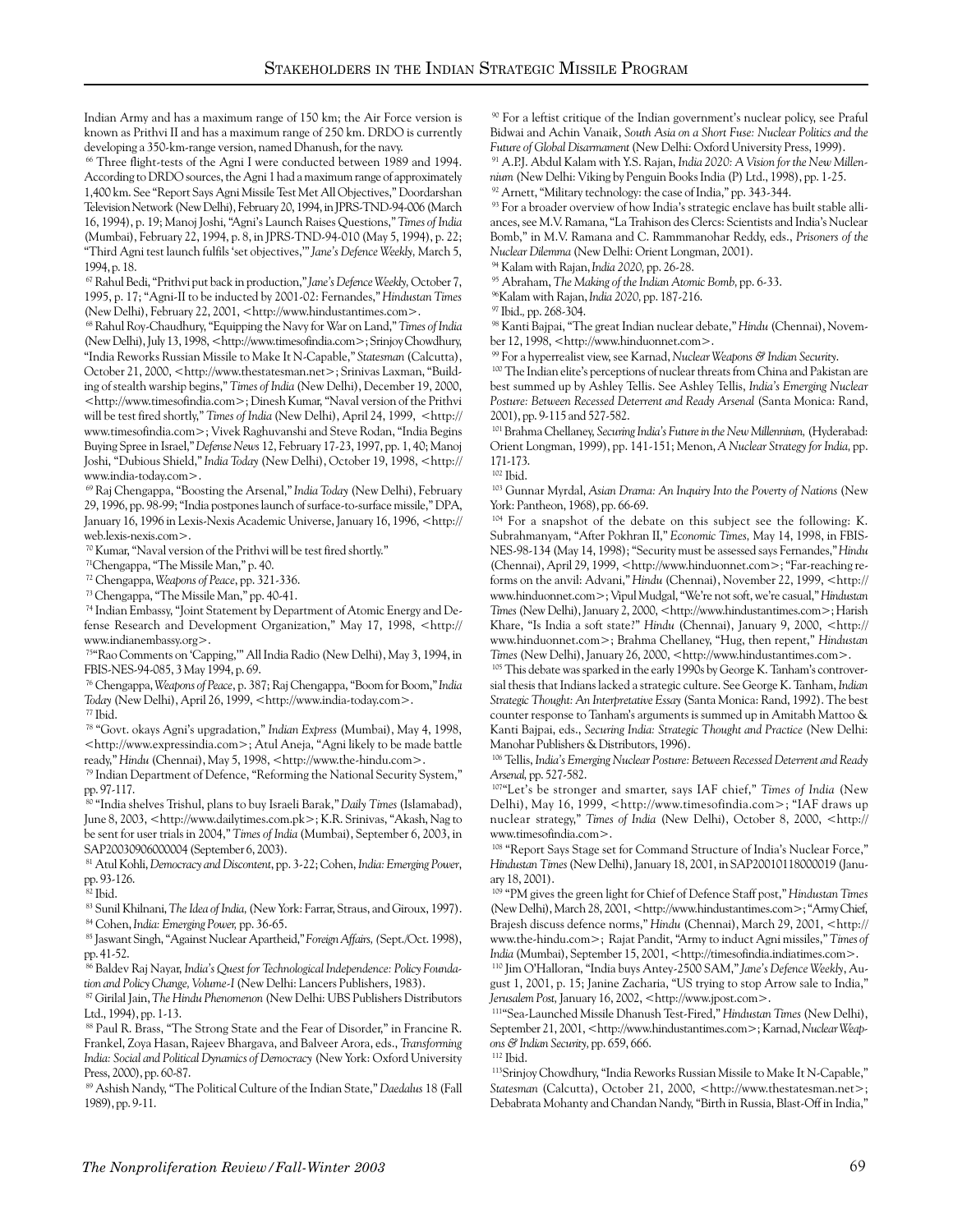Indian Army and has a maximum range of 150 km; the Air Force version is known as Prithvi II and has a maximum range of 250 km. DRDO is currently developing a 350-km-range version, named Dhanush, for the navy.

<sup>66</sup> Three flight-tests of the Agni I were conducted between 1989 and 1994. According to DRDO sources, the Agni 1 had a maximum range of approximately 1,400 km. See "Report Says Agni Missile Test Met All Objectives," Doordarshan Television Network (New Delhi), February 20, 1994, in JPRS-TND-94-006 (March 16, 1994), p. 19; Manoj Joshi, "Agni's Launch Raises Questions," *Times of India* (Mumbai), February 22, 1994, p. 8, in JPRS-TND-94-010 (May 5, 1994), p. 22; "Third Agni test launch fulfils 'set objectives,'" *Jane's Defence Weekly,* March 5, 1994, p. 18.

<sup>67</sup> Rahul Bedi, "Prithvi put back in production," *Jane's Defence Weekly,* October 7, 1995, p. 17; "Agni-II to be inducted by 2001-02: Fernandes," *Hindustan Times* (New Delhi), February 22, 2001, <http://www.hindustantimes.com>.

<sup>68</sup> Rahul Roy-Chaudhury, "Equipping the Navy for War on Land," *Times of India* (New Delhi), July 13, 1998, <http://www.timesofindia.com>; Srinjoy Chowdhury, "India Reworks Russian Missile to Make It N-Capable," *Statesman* (Calcutta), October 21, 2000, <http://www.thestatesman.net>; Srinivas Laxman, "Building of stealth warship begins," *Times of India* (New Delhi), December 19, 2000, <http://www.timesofindia.com>; Dinesh Kumar, "Naval version of the Prithvi will be test fired shortly," *Times of India* (New Delhi), April 24, 1999, <http:// www.timesofindia.com>; Vivek Raghuvanshi and Steve Rodan, "India Begins Buying Spree in Israel," *Defense News* 12, February 17-23, 1997, pp. 1, 40; Manoj Joshi, "Dubious Shield," *India Today* (New Delhi), October 19, 1998, <http:// www.india-today.com>.

<sup>69</sup> Raj Chengappa, "Boosting the Arsenal," *India Today* (New Delhi), February 29, 1996, pp. 98-99; "India postpones launch of surface-to-surface missile," DPA, January 16, 1996 in Lexis-Nexis Academic Universe, January 16, 1996, <http:// web.lexis-nexis.com>.

<sup>70</sup> Kumar, "Naval version of the Prithvi will be test fired shortly."

<sup>71</sup>Chengappa, "The Missile Man," p. 40.

<sup>72</sup> Chengappa, *Weapons of Peace*, pp. 321-336.

<sup>73</sup> Chengappa, "The Missile Man," pp. 40-41.

74 Indian Embassy, "Joint Statement by Department of Atomic Energy and Defense Research and Development Organization," May 17, 1998, <http:// www.indianembassy.org>.

<sup>75</sup>"Rao Comments on 'Capping,'" All India Radio (New Delhi), May 3, 1994, in FBIS-NES-94-085, 3 May 1994, p. 69.

<sup>76</sup> Chengappa, *Weapons of Peace*, p. 387; Raj Chengappa, "Boom for Boom," *India Today* (New Delhi), April 26, 1999, <http://www.india-today.com>. <sup>77</sup> Ibid.

<sup>78</sup> "Govt. okays Agni's upgradation," *Indian Express* (Mumbai), May 4, 1998, <http://www.expressindia.com>; Atul Aneja, "Agni likely to be made battle ready," *Hindu* (Chennai), May 5, 1998, <http://www.the-hindu.com>.

<sup>79</sup> Indian Department of Defence, "Reforming the National Security System," pp. 97-117.

<sup>80</sup> "India shelves Trishul, plans to buy Israeli Barak," *Daily Times* (Islamabad), June 8, 2003, <http://www.dailytimes.com.pk>; K.R. Srinivas, "Akash, Nag to be sent for user trials in 2004," *Times of India* (Mumbai), September 6, 2003, in SAP20030906000004 (September 6, 2003).

<sup>81</sup> Atul Kohli, *Democracy and Discontent*, pp. 3-22; Cohen, *India: Emerging Power*, pp. 93-126.

<sup>82</sup> Ibid.

<sup>83</sup> Sunil Khilnani, *The Idea of India,* (New York: Farrar, Straus, and Giroux, 1997). <sup>84</sup> Cohen, *India: Emerging Power,* pp. 36-65.

<sup>85</sup> Jaswant Singh, "Against Nuclear Apartheid," *Foreign Affairs, (*Sept./Oct. 1998), pp. 41-52.

86 Baldev Raj Nayar, *India's Quest for Technological Independence: Policy Foundation and Policy Change, Volume-I* (New Delhi: Lancers Publishers, 1983).

<sup>87</sup> Girilal Jain, *The Hindu Phenomenon* (New Delhi: UBS Publishers Distributors Ltd., 1994), pp. 1-13.

<sup>88</sup> Paul R. Brass, "The Strong State and the Fear of Disorder," in Francine R. Frankel, Zoya Hasan, Rajeev Bhargava, and Balveer Arora, eds., *Transforming India: Social and Political Dynamics of Democracy* (New York: Oxford University Press, 2000), pp. 60-87.

<sup>89</sup> Ashish Nandy, "The Political Culture of the Indian State," *Daedalus* 18 (Fall 1989), pp. 9-11.

<sup>90</sup> For a leftist critique of the Indian government's nuclear policy, see Praful Bidwai and Achin Vanaik, *South Asia on a Short Fuse: Nuclear Politics and the Future of Global Disarmament* (New Delhi: Oxford University Press, 1999).

<sup>91</sup> A.P.J. Abdul Kalam with Y.S. Rajan, *India 2020: A Vision for the New Millennium* (New Delhi: Viking by Penguin Books India (P) Ltd., 1998), pp. 1-25. <sup>92</sup> Arnett, "Military technology: the case of India," pp. 343-344.

93 For a broader overview of how India's strategic enclave has built stable alliances, see M.V. Ramana, "La Trahison des Clercs: Scientists and India's Nuclear Bomb," in M.V. Ramana and C. Rammmanohar Reddy, eds., *Prisoners of the Nuclear Dilemma* (New Delhi: Orient Longman, 2001).

<sup>94</sup> Kalam with Rajan, *India 2020,* pp. 26-28.

<sup>95</sup> Abraham, *The Making of the Indian Atomic Bomb,* pp. 6-33.

<sup>96</sup>Kalam with Rajan, *India 2020,* pp. 187-216.

98 Kanti Bajpai, "The great Indian nuclear debate," *Hindu* (Chennai), November 12, 1998, <http://www.hinduonnet.com>.

<sup>99</sup> For a hyperrealist view, see Karnad, *Nuclear Weapons & Indian Security*.

<sup>100</sup> The Indian elite's perceptions of nuclear threats from China and Pakistan are best summed up by Ashley Tellis. See Ashley Tellis, *India's Emerging Nuclear* Posture: Between Recessed Deterrent and Ready Arsenal (Santa Monica: Rand, 2001), pp. 9-115 and 527-582.

<sup>101</sup> Brahma Chellaney, *Securing India's Future in the New Millennium,*(Hyderabad: Orient Longman, 1999), pp. 141-151; Menon, *A Nuclear Strategy for India,* pp. 171-173.

<sup>102</sup> Ibid.

<sup>103</sup> Gunnar Myrdal, *Asian Drama: An Inquiry Into the Poverty of Nations* (New York: Pantheon, 1968), pp. 66-69.

<sup>104</sup> For a snapshot of the debate on this subject see the following: K. Subrahmanyam, "After Pokhran II," *Economic Times,* May 14, 1998, in FBIS-NES-98-134 (May 14, 1998); "Security must be assessed says Fernandes," *Hindu* (Chennai), April 29, 1999, <http://www.hinduonnet.com>; "Far-reaching reforms on the anvil: Advani," *Hindu* (Chennai), November 22, 1999, <http:// www.hinduonnet.com>; Vipul Mudgal, "We're not soft, we're casual," *Hindustan Times* (New Delhi), January 2, 2000, <http://www.hindustantimes.com>; Harish Khare, "Is India a soft state?" *Hindu* (Chennai), January 9, 2000, <http:// www.hinduonnet.com>; Brahma Chellaney, "Hug, then repent," *Hindustan Times* (New Delhi), January 26, 2000, <http://www.hindustantimes.com>.

<sup>105</sup> This debate was sparked in the early 1990s by George K. Tanham's controversial thesis that Indians lacked a strategic culture. See George K. Tanham, *Indian Strategic Thought: An Interpretative Essay* (Santa Monica: Rand, 1992). The best counter response to Tanham's arguments is summed up in Amitabh Mattoo & Kanti Bajpai, eds., *Securing India: Strategic Thought and Practice* (New Delhi: Manohar Publishers & Distributors, 1996).

<sup>106</sup> Tellis, *India's Emerging Nuclear Posture: Between Recessed Deterrent and Ready Arsenal,* pp. 527-582.

107 "Let's be stronger and smarter, says IAF chief," *Times of India* (New Delhi), May 16, 1999, <http://www.timesofindia.com>; "IAF draws up nuclear strategy," *Times of India* (New Delhi), October 8, 2000, <http:// www.timesofindia.com>.

<sup>108</sup> "Report Says Stage set for Command Structure of India's Nuclear Force," *Hindustan Times* (New Delhi), January 18, 2001, in SAP20010118000019 (January 18, 2001).

<sup>109</sup> "PM gives the green light for Chief of Defence Staff post," *Hindustan Times* (New Delhi), March 28, 2001, <http://www.hindustantimes.com>; "Army Chief, Brajesh discuss defence norms," *Hindu* (Chennai), March 29, 2001, <http:// www.the-hindu.com>; Rajat Pandit, "Army to induct Agni missiles," *Times of India* (Mumbai), September 15, 2001, <http://timesofindia.indiatimes.com>.

110 Jim O'Halloran, "India buys Antey-2500 SAM," *Jane's Defence Weekly*, August 1, 2001, p. 15; Janine Zacharia, "US trying to stop Arrow sale to India," *Jerusalem Post,* January 16, 2002, <http://www.jpost.com>.

<sup>111</sup>"Sea-Launched Missile Dhanush Test-Fired," *Hindustan Times* (New Delhi), September 21, 2001, <http://www.hindustantimes.com>; Karnad, *Nuclear Weapons & Indian Security,* pp. 659, 666.

<sup>112</sup> Ibid.

<sup>113</sup>Srinjoy Chowdhury, "India Reworks Russian Missile to Make It N-Capable," Statesman (Calcutta), October 21, 2000, <http://www.thestatesman.net>; Debabrata Mohanty and Chandan Nandy, "Birth in Russia, Blast-Off in India,"

<sup>97</sup> Ibid.*,* pp. 268-304.